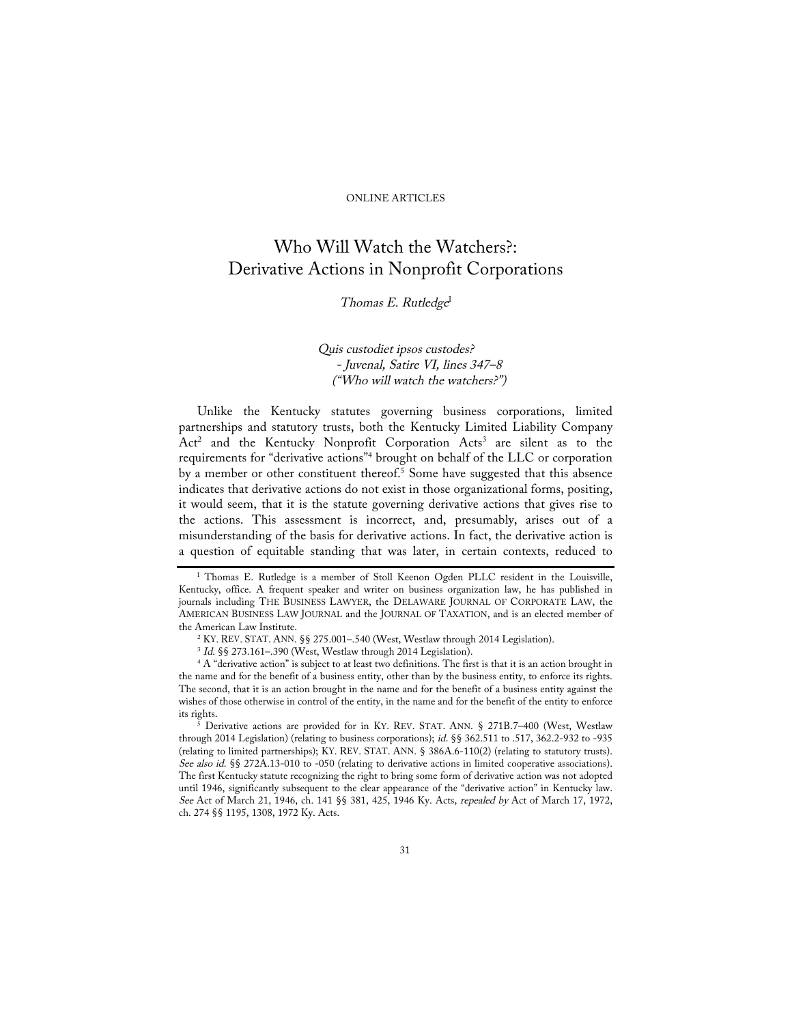## ONLINE ARTICLES

# Who Will Watch the Watchers?: Derivative Actions in Nonprofit Corporations

# Thomas E. Rutledge<sup>I</sup>

# Quis custodiet ipsos custodes? - Juvenal, Satire VI, lines 347–8 ("Who will watch the watchers?")

Unlike the Kentucky statutes governing business corporations, limited partnerships and statutory trusts, both the Kentucky Limited Liability Company Act<sup>2</sup> and the Kentucky Nonprofit Corporation Acts<sup>3</sup> are silent as to the requirements for "derivative actions"4 brought on behalf of the LLC or corporation by a member or other constituent thereof.<sup>5</sup> Some have suggested that this absence indicates that derivative actions do not exist in those organizational forms, positing, it would seem, that it is the statute governing derivative actions that gives rise to the actions. This assessment is incorrect, and, presumably, arises out of a misunderstanding of the basis for derivative actions. In fact, the derivative action is a question of equitable standing that was later, in certain contexts, reduced to

<sup>5</sup> Derivative actions are provided for in KY. REV. STAT. ANN. § 271B.7–400 (West, Westlaw through 2014 Legislation) (relating to business corporations); id. §§ 362.511 to .517, 362.2-932 to -935 (relating to limited partnerships); KY. REV. STAT. ANN. § 386A.6-110(2) (relating to statutory trusts). See also id. §§ 272A.13-010 to -050 (relating to derivative actions in limited cooperative associations). The first Kentucky statute recognizing the right to bring some form of derivative action was not adopted until 1946, significantly subsequent to the clear appearance of the "derivative action" in Kentucky law. See Act of March 21, 1946, ch. 141 §§ 381, 425, 1946 Ky. Acts, repealed by Act of March 17, 1972, ch. 274 §§ 1195, 1308, 1972 Ky. Acts.

<sup>&</sup>lt;sup>I</sup> Thomas E. Rutledge is a member of Stoll Keenon Ogden PLLC resident in the Louisville, Kentucky, office. A frequent speaker and writer on business organization law, he has published in journals including THE BUSINESS LAWYER, the DELAWARE JOURNAL OF CORPORATE LAW, the AMERICAN BUSINESS LAW JOURNAL and the JOURNAL OF TAXATION, and is an elected member of

the American Law Institute.<br><sup>2</sup> KY. REV. STAT. ANN. §§ 275.001–.540 (West, Westlaw through 2014 Legislation).

 $3$  Id. §§ 273.161–.390 (West, Westlaw through 2014 Legislation).<br> $4$  A "derivative action" is subject to at least two definitions. The first is that it is an action brought in the name and for the benefit of a business entity, other than by the business entity, to enforce its rights. The second, that it is an action brought in the name and for the benefit of a business entity against the wishes of those otherwise in control of the entity, in the name and for the benefit of the entity to enforce its rights.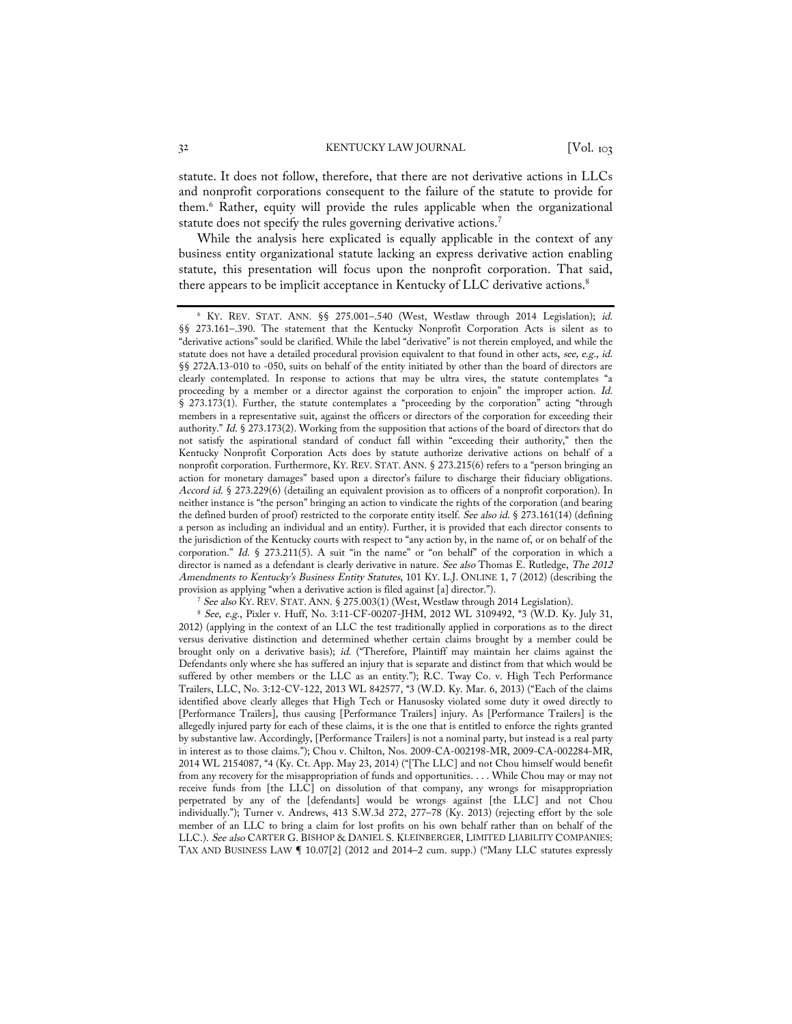statute. It does not follow, therefore, that there are not derivative actions in LLCs and nonprofit corporations consequent to the failure of the statute to provide for them.6 Rather, equity will provide the rules applicable when the organizational statute does not specify the rules governing derivative actions.7

While the analysis here explicated is equally applicable in the context of any business entity organizational statute lacking an express derivative action enabling statute, this presentation will focus upon the nonprofit corporation. That said, there appears to be implicit acceptance in Kentucky of LLC derivative actions.<sup>8</sup>

<sup>6</sup> KY. REV. STAT. ANN. §§ 275.001–.540 (West, Westlaw through 2014 Legislation); id. §§ 273.161–.390. The statement that the Kentucky Nonprofit Corporation Acts is silent as to "derivative actions" sould be clarified. While the label "derivative" is not therein employed, and while the statute does not have a detailed procedural provision equivalent to that found in other acts, see, e.g., id. §§ 272A.13-010 to -050, suits on behalf of the entity initiated by other than the board of directors are clearly contemplated. In response to actions that may be ultra vires, the statute contemplates "a proceeding by a member or a director against the corporation to enjoin" the improper action. Id. § 273.173(1). Further, the statute contemplates a "proceeding by the corporation" acting "through members in a representative suit, against the officers or directors of the corporation for exceeding their authority." Id. § 273.173(2). Working from the supposition that actions of the board of directors that do not satisfy the aspirational standard of conduct fall within "exceeding their authority," then the Kentucky Nonprofit Corporation Acts does by statute authorize derivative actions on behalf of a nonprofit corporation. Furthermore, KY. REV. STAT. ANN. § 273.215(6) refers to a "person bringing an action for monetary damages" based upon a director's failure to discharge their fiduciary obligations. Accord id. § 273.229(6) (detailing an equivalent provision as to officers of a nonprofit corporation). In neither instance is "the person" bringing an action to vindicate the rights of the corporation (and bearing the defined burden of proof) restricted to the corporate entity itself. See also id. § 273.161(14) (defining a person as including an individual and an entity). Further, it is provided that each director consents to the jurisdiction of the Kentucky courts with respect to "any action by, in the name of, or on behalf of the corporation." Id. § 273.211(5). A suit "in the name" or "on behalf" of the corporation in which a director is named as a defendant is clearly derivative in nature. See also Thomas E. Rutledge, The 2012 Amendments to Kentucky's Business Entity Statutes, 101 KY. L.J. ONLINE 1, 7 (2012) (describing the provision as applying "when a derivative action is filed against [a] director.").<br>
<sup>7</sup> See also KY. REV. STAT. ANN. § 275.003(1) (West, Westlaw through 2014 Legislation).

 $8$  See, e.g., Pixler v. Huff, No. 3:11-CF-00207-JHM, 2012 WL 3109492,  $*3$  (W.D. Ky. July 31, 2012) (applying in the context of an LLC the test traditionally applied in corporations as to the direct versus derivative distinction and determined whether certain claims brought by a member could be brought only on a derivative basis); id. ("Therefore, Plaintiff may maintain her claims against the Defendants only where she has suffered an injury that is separate and distinct from that which would be suffered by other members or the LLC as an entity."); R.C. Tway Co. v. High Tech Performance Trailers, LLC, No. 3:12-CV-122, 2013 WL 842577, \*3 (W.D. Ky. Mar. 6, 2013) ("Each of the claims identified above clearly alleges that High Tech or Hanusosky violated some duty it owed directly to [Performance Trailers], thus causing [Performance Trailers] injury. As [Performance Trailers] is the allegedly injured party for each of these claims, it is the one that is entitled to enforce the rights granted by substantive law. Accordingly, [Performance Trailers] is not a nominal party, but instead is a real party in interest as to those claims."); Chou v. Chilton, Nos. 2009-CA-002198-MR, 2009-CA-002284-MR, 2014 WL 2154087, \*4 (Ky. Ct. App. May 23, 2014) ("[The LLC] and not Chou himself would benefit from any recovery for the misappropriation of funds and opportunities. . . . While Chou may or may not receive funds from [the LLC] on dissolution of that company, any wrongs for misappropriation perpetrated by any of the [defendants] would be wrongs against [the LLC] and not Chou individually."); Turner v. Andrews, 413 S.W.3d 272, 277–78 (Ky. 2013) (rejecting effort by the sole member of an LLC to bring a claim for lost profits on his own behalf rather than on behalf of the LLC.). See also CARTER G. BISHOP & DANIEL S. KLEINBERGER, LIMITED LIABILITY COMPANIES: TAX AND BUSINESS LAW ¶ 10.07[2] (2012 and 2014–2 cum. supp.) ("Many LLC statutes expressly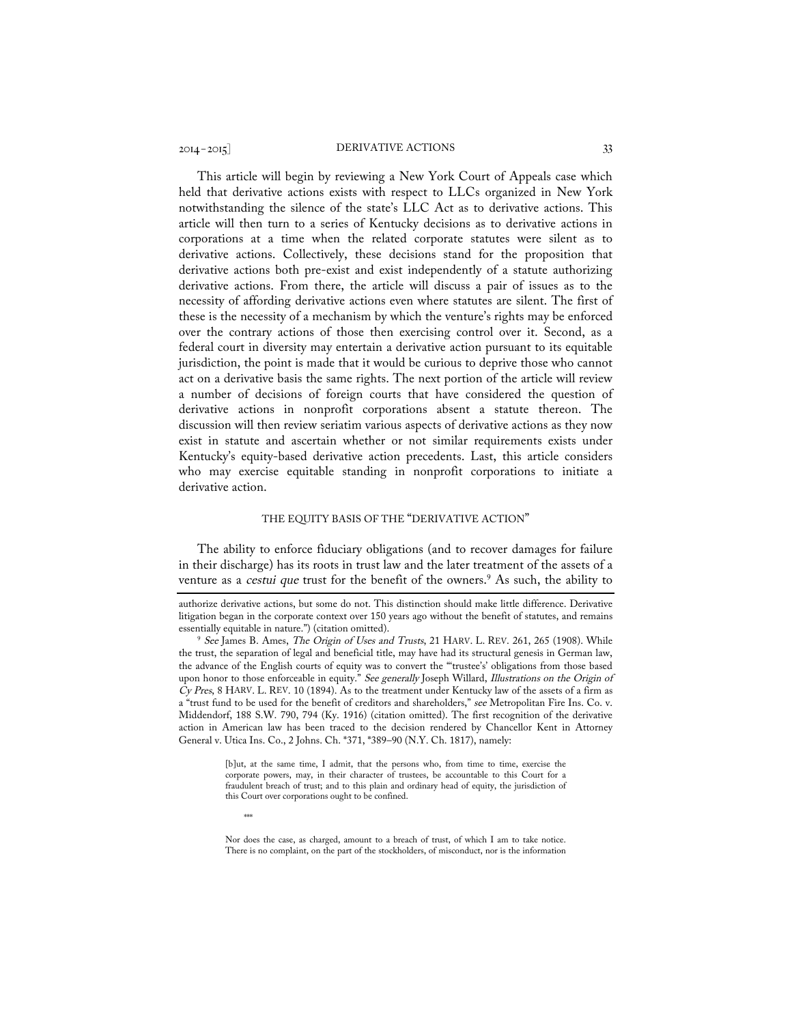This article will begin by reviewing a New York Court of Appeals case which held that derivative actions exists with respect to LLCs organized in New York notwithstanding the silence of the state's LLC Act as to derivative actions. This article will then turn to a series of Kentucky decisions as to derivative actions in corporations at a time when the related corporate statutes were silent as to derivative actions. Collectively, these decisions stand for the proposition that derivative actions both pre-exist and exist independently of a statute authorizing derivative actions. From there, the article will discuss a pair of issues as to the necessity of affording derivative actions even where statutes are silent. The first of these is the necessity of a mechanism by which the venture's rights may be enforced over the contrary actions of those then exercising control over it. Second, as a federal court in diversity may entertain a derivative action pursuant to its equitable jurisdiction, the point is made that it would be curious to deprive those who cannot act on a derivative basis the same rights. The next portion of the article will review a number of decisions of foreign courts that have considered the question of derivative actions in nonprofit corporations absent a statute thereon. The discussion will then review seriatim various aspects of derivative actions as they now exist in statute and ascertain whether or not similar requirements exists under Kentucky's equity-based derivative action precedents. Last, this article considers who may exercise equitable standing in nonprofit corporations to initiate a derivative action.

#### THE EQUITY BASIS OF THE "DERIVATIVE ACTION"

The ability to enforce fiduciary obligations (and to recover damages for failure in their discharge) has its roots in trust law and the later treatment of the assets of a venture as a *cestui que* trust for the benefit of the owners.<sup>9</sup> As such, the ability to

\*\*\*

Nor does the case, as charged, amount to a breach of trust, of which I am to take notice. There is no complaint, on the part of the stockholders, of misconduct, nor is the information

authorize derivative actions, but some do not. This distinction should make little difference. Derivative litigation began in the corporate context over 150 years ago without the benefit of statutes, and remains essentially equitable in nature.") (citation omitted).<br><sup>9</sup> See James B. Ames, *The Origin of Uses and Trusts*, 21 HARV. L. REV. 261, 265 (1908). While

the trust, the separation of legal and beneficial title, may have had its structural genesis in German law, the advance of the English courts of equity was to convert the "'trustee's' obligations from those based upon honor to those enforceable in equity." See generally Joseph Willard, Illustrations on the Origin of  $Cy$  Pres, 8 HARV. L. REV. 10 (1894). As to the treatment under Kentucky law of the assets of a firm as a "trust fund to be used for the benefit of creditors and shareholders," see Metropolitan Fire Ins. Co. v. Middendorf, 188 S.W. 790, 794 (Ky. 1916) (citation omitted). The first recognition of the derivative action in American law has been traced to the decision rendered by Chancellor Kent in Attorney General v. Utica Ins. Co., 2 Johns. Ch. \*371, \*389–90 (N.Y. Ch. 1817), namely:

<sup>[</sup>b]ut, at the same time, I admit, that the persons who, from time to time, exercise the corporate powers, may, in their character of trustees, be accountable to this Court for a fraudulent breach of trust; and to this plain and ordinary head of equity, the jurisdiction of this Court over corporations ought to be confined.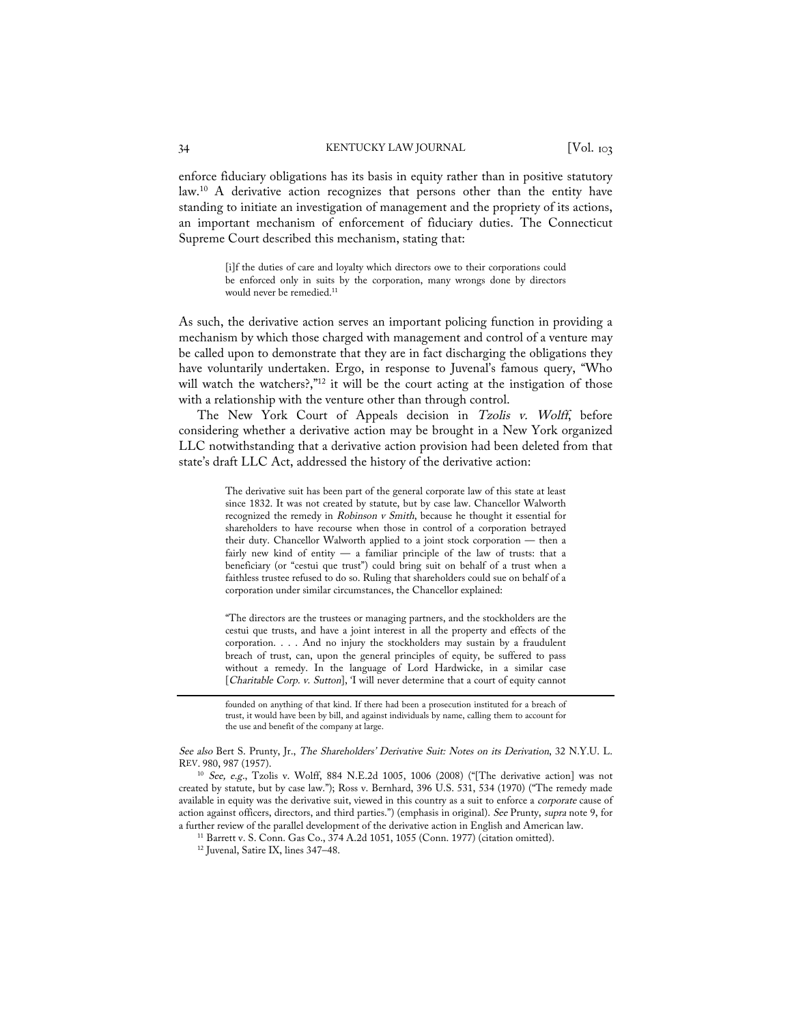#### 34 KENTUCKY LAW JOURNAL [Vol. 103]

enforce fiduciary obligations has its basis in equity rather than in positive statutory law.10 A derivative action recognizes that persons other than the entity have standing to initiate an investigation of management and the propriety of its actions, an important mechanism of enforcement of fiduciary duties. The Connecticut Supreme Court described this mechanism, stating that:

> [i]f the duties of care and loyalty which directors owe to their corporations could be enforced only in suits by the corporation, many wrongs done by directors would never be remedied.<sup>11</sup>

As such, the derivative action serves an important policing function in providing a mechanism by which those charged with management and control of a venture may be called upon to demonstrate that they are in fact discharging the obligations they have voluntarily undertaken. Ergo, in response to Juvenal's famous query, "Who will watch the watchers?,"<sup>12</sup> it will be the court acting at the instigation of those with a relationship with the venture other than through control.

The New York Court of Appeals decision in Tzolis v. Wolff, before considering whether a derivative action may be brought in a New York organized LLC notwithstanding that a derivative action provision had been deleted from that state's draft LLC Act, addressed the history of the derivative action:

> The derivative suit has been part of the general corporate law of this state at least since 1832. It was not created by statute, but by case law. Chancellor Walworth recognized the remedy in Robinson v Smith, because he thought it essential for shareholders to have recourse when those in control of a corporation betrayed their duty. Chancellor Walworth applied to a joint stock corporation — then a fairly new kind of entity — a familiar principle of the law of trusts: that a beneficiary (or "cestui que trust") could bring suit on behalf of a trust when a faithless trustee refused to do so. Ruling that shareholders could sue on behalf of a corporation under similar circumstances, the Chancellor explained:

> "The directors are the trustees or managing partners, and the stockholders are the cestui que trusts, and have a joint interest in all the property and effects of the corporation. . . . And no injury the stockholders may sustain by a fraudulent breach of trust, can, upon the general principles of equity, be suffered to pass without a remedy. In the language of Lord Hardwicke, in a similar case [Charitable Corp. v. Sutton], 'I will never determine that a court of equity cannot

> founded on anything of that kind. If there had been a prosecution instituted for a breach of trust, it would have been by bill, and against individuals by name, calling them to account for the use and benefit of the company at large.

See also Bert S. Prunty, Jr., The Shareholders' Derivative Suit: Notes on its Derivation, 32 N.Y.U. L. REV. 980, 987 (1957).

<sup>10</sup> See, e.g., Tzolis v. Wolff, 884 N.E.2d 1005, 1006 (2008) ("[The derivative action] was not created by statute, but by case law."); Ross v. Bernhard, 396 U.S. 531, 534 (1970) ("The remedy made available in equity was the derivative suit, viewed in this country as a suit to enforce a corporate cause of action against officers, directors, and third parties.") (emphasis in original). See Prunty, supra note 9, for a further review of the parallel development of the derivative action in English and American law. <sup>11</sup> Barrett v. S. Conn. Gas Co., 374 A.2d 1051, 1055 (Conn. 1977) (citation omitted). <sup>12</sup> Juvenal, Satire IX, lines 347–4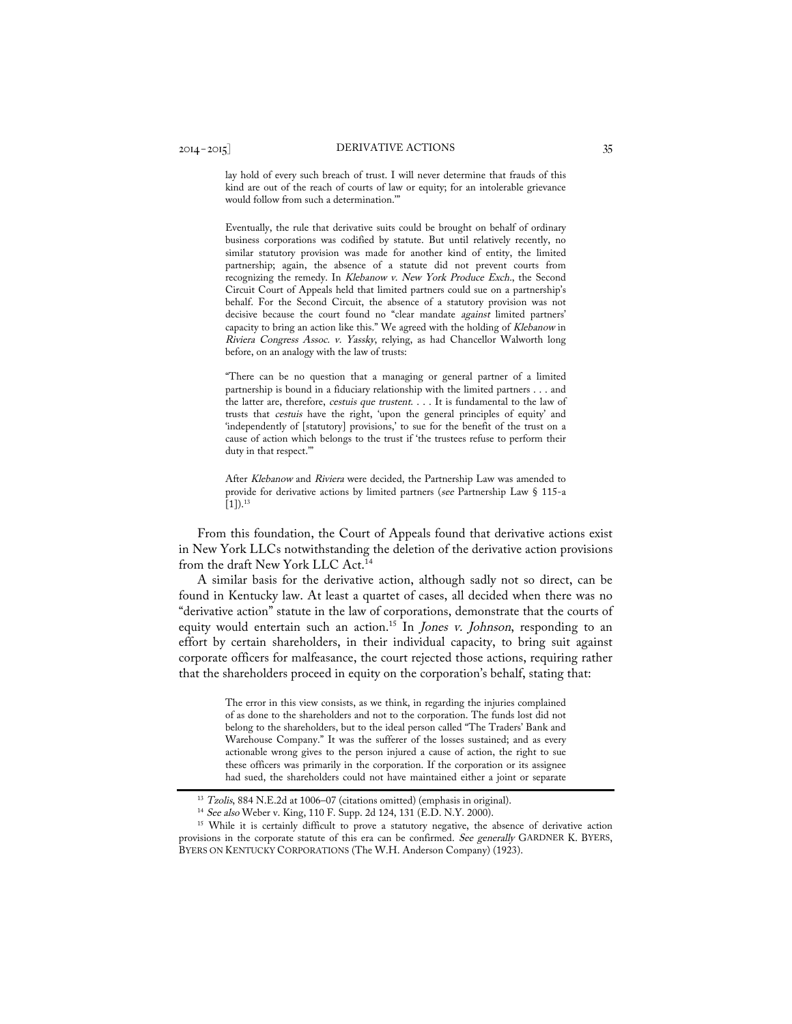lay hold of every such breach of trust. I will never determine that frauds of this kind are out of the reach of courts of law or equity; for an intolerable grievance would follow from such a determination.'"

Eventually, the rule that derivative suits could be brought on behalf of ordinary business corporations was codified by statute. But until relatively recently, no similar statutory provision was made for another kind of entity, the limited partnership; again, the absence of a statute did not prevent courts from recognizing the remedy. In Klebanow v. New York Produce Exch., the Second Circuit Court of Appeals held that limited partners could sue on a partnership's behalf. For the Second Circuit, the absence of a statutory provision was not decisive because the court found no "clear mandate against limited partners' capacity to bring an action like this." We agreed with the holding of Klebanow in Riviera Congress Assoc. v. Yassky, relying, as had Chancellor Walworth long before, on an analogy with the law of trusts:

"There can be no question that a managing or general partner of a limited partnership is bound in a fiduciary relationship with the limited partners . . . and the latter are, therefore, cestuis que trustent. . . . It is fundamental to the law of trusts that cestuis have the right, 'upon the general principles of equity' and 'independently of [statutory] provisions,' to sue for the benefit of the trust on a cause of action which belongs to the trust if 'the trustees refuse to perform their duty in that respect.'"

After Klebanow and Riviera were decided, the Partnership Law was amended to provide for derivative actions by limited partners (see Partnership Law § 115-a  $[1]$ ).<sup>13</sup>

From this foundation, the Court of Appeals found that derivative actions exist in New York LLCs notwithstanding the deletion of the derivative action provisions from the draft New York LLC Act.14

A similar basis for the derivative action, although sadly not so direct, can be found in Kentucky law. At least a quartet of cases, all decided when there was no "derivative action" statute in the law of corporations, demonstrate that the courts of equity would entertain such an action.<sup>15</sup> In *Jones v. Johnson*, responding to an effort by certain shareholders, in their individual capacity, to bring suit against corporate officers for malfeasance, the court rejected those actions, requiring rather that the shareholders proceed in equity on the corporation's behalf, stating that:

> The error in this view consists, as we think, in regarding the injuries complained of as done to the shareholders and not to the corporation. The funds lost did not belong to the shareholders, but to the ideal person called "The Traders' Bank and Warehouse Company." It was the sufferer of the losses sustained; and as every actionable wrong gives to the person injured a cause of action, the right to sue these officers was primarily in the corporation. If the corporation or its assignee had sued, the shareholders could not have maintained either a joint or separate

<sup>&</sup>lt;sup>13</sup> Tzolis, 884 N.E.2d at 1006-07 (citations omitted) (emphasis in original).

<sup>14</sup> See also Weber v. King, 110 F. Supp. 2d 124, 131 (E.D. N.Y. 2000).

<sup>&</sup>lt;sup>15</sup> While it is certainly difficult to prove a statutory negative, the absence of derivative action provisions in the corporate statute of this era can be confirmed. See generally GARDNER K. BYERS, BYERS ON KENTUCKY CORPORATIONS (The W.H. Anderson Company) (1923).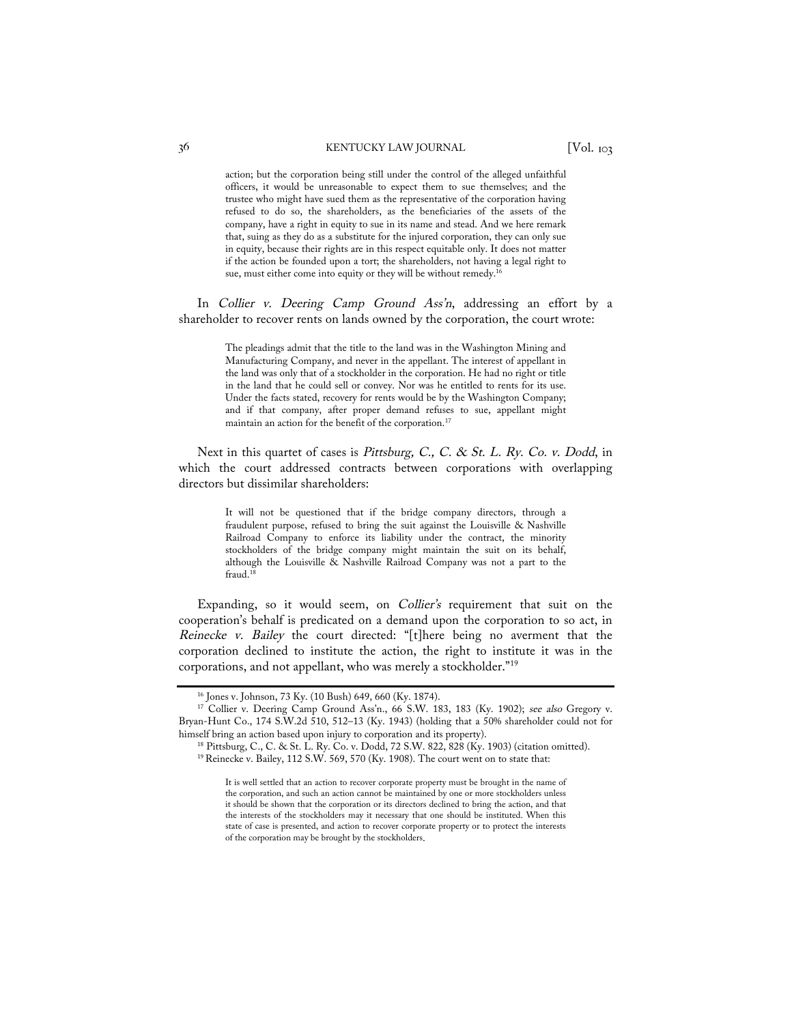action; but the corporation being still under the control of the alleged unfaithful officers, it would be unreasonable to expect them to sue themselves; and the trustee who might have sued them as the representative of the corporation having refused to do so, the shareholders, as the beneficiaries of the assets of the company, have a right in equity to sue in its name and stead. And we here remark that, suing as they do as a substitute for the injured corporation, they can only sue in equity, because their rights are in this respect equitable only. It does not matter if the action be founded upon a tort; the shareholders, not having a legal right to sue, must either come into equity or they will be without remedy.<sup>1</sup>

In Collier v. Deering Camp Ground Ass'n, addressing an effort by a shareholder to recover rents on lands owned by the corporation, the court wrote:

> The pleadings admit that the title to the land was in the Washington Mining and Manufacturing Company, and never in the appellant. The interest of appellant in the land was only that of a stockholder in the corporation. He had no right or title in the land that he could sell or convey. Nor was he entitled to rents for its use. Under the facts stated, recovery for rents would be by the Washington Company; and if that company, after proper demand refuses to sue, appellant might maintain an action for the benefit of the corporation.17

Next in this quartet of cases is Pittsburg, C., C. & St. L. Ry. Co. v. Dodd, in which the court addressed contracts between corporations with overlapping directors but dissimilar shareholders:

> It will not be questioned that if the bridge company directors, through a fraudulent purpose, refused to bring the suit against the Louisville & Nashville Railroad Company to enforce its liability under the contract, the minority stockholders of the bridge company might maintain the suit on its behalf, although the Louisville & Nashville Railroad Company was not a part to the fraud.<sup>18</sup>

Expanding, so it would seem, on Collier's requirement that suit on the cooperation's behalf is predicated on a demand upon the corporation to so act, in Reinecke v. Bailey the court directed: "[t]here being no averment that the corporation declined to institute the action, the right to institute it was in the corporations, and not appellant, who was merely a stockholder."19

<sup>&</sup>lt;sup>16</sup> Jones v. Johnson, 73 Ky. (10 Bush) 649, 660 (Ky. 1874).<br><sup>17</sup> Collier v. Deering Camp Ground Ass'n., 66 S.W. 183, 183 (Ky. 1902); *see also* Gregory v. Bryan-Hunt Co., 174 S.W.2d 510, 512–13 (Ky. 1943) (holding that a 50% shareholder could not for himself bring an action based upon injury to corporation and its property).<br><sup>18</sup> Pittsburg, C., C. & St. L. Ry. Co. v. Dodd, 72 S.W. 822, 828 (Ky. 1903) (citation omitted).

 $19$  Reinecke v. Bailey, 112 S.W. 569, 570 (Ky. 1908). The court went on to state that:

It is well settled that an action to recover corporate property must be brought in the name of the corporation, and such an action cannot be maintained by one or more stockholders unless it should be shown that the corporation or its directors declined to bring the action, and that the interests of the stockholders may it necessary that one should be instituted. When this state of case is presented, and action to recover corporate property or to protect the interests of the corporation may be brought by the stockholders.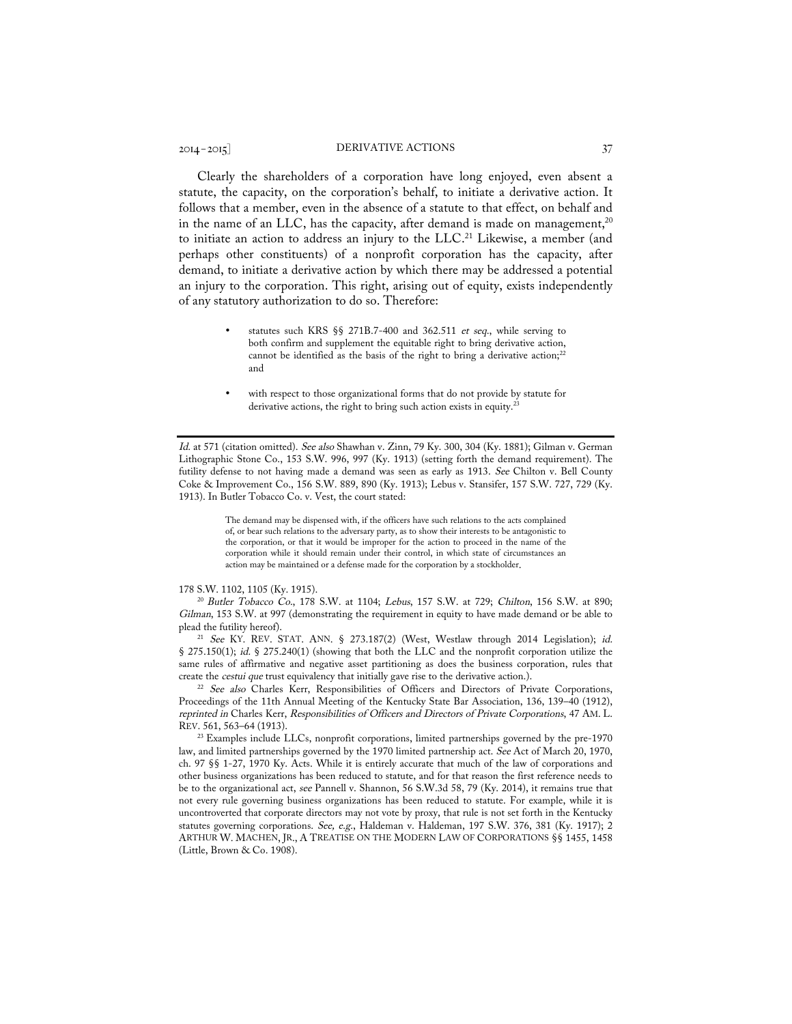# 2014–2015] DERIVATIVE ACTIONS 37

Clearly the shareholders of a corporation have long enjoyed, even absent a statute, the capacity, on the corporation's behalf, to initiate a derivative action. It follows that a member, even in the absence of a statute to that effect, on behalf and in the name of an LLC, has the capacity, after demand is made on management,<sup>20</sup> to initiate an action to address an injury to the LLC.<sup>21</sup> Likewise, a member (and perhaps other constituents) of a nonprofit corporation has the capacity, after demand, to initiate a derivative action by which there may be addressed a potential an injury to the corporation. This right, arising out of equity, exists independently of any statutory authorization to do so. Therefore:

- statutes such KRS §§ 271B.7-400 and 362.511 et seq., while serving to both confirm and supplement the equitable right to bring derivative action, cannot be identified as the basis of the right to bring a derivative action;<sup>22</sup> and
- with respect to those organizational forms that do not provide by statute for derivative actions, the right to bring such action exists in equity.<sup>23</sup>

Id. at 571 (citation omitted). See also Shawhan v. Zinn, 79 Ky. 300, 304 (Ky. 1881); Gilman v. German Lithographic Stone Co., 153 S.W. 996, 997 (Ky. 1913) (setting forth the demand requirement). The futility defense to not having made a demand was seen as early as 1913. See Chilton v. Bell County Coke & Improvement Co., 156 S.W. 889, 890 (Ky. 1913); Lebus v. Stansifer, 157 S.W. 727, 729 (Ky. 1913). In Butler Tobacco Co. v. Vest, the court stated:

> The demand may be dispensed with, if the officers have such relations to the acts complained of, or bear such relations to the adversary party, as to show their interests to be antagonistic to the corporation, or that it would be improper for the action to proceed in the name of the corporation while it should remain under their control, in which state of circumstances an action may be maintained or a defense made for the corporation by a stockholder.

178 S.W. 1102, 1105 (Ky. 1915).<br><sup>20</sup> Butler Tobacco Co., 178 S.W. at 1104; Lebus, 157 S.W. at 729; Chilton, 156 S.W. at 890; Gilman, 153 S.W. at 997 (demonstrating the requirement in equity to have made demand or be able to plead the futility hereof).

<sup>21</sup> See KY. REV. STAT. ANN. § 273.187(2) (West, Westlaw through 2014 Legislation); id. § 275.150(1); id. § 275.240(1) (showing that both the LLC and the nonprofit corporation utilize the same rules of affirmative and negative asset partitioning as does the business corporation, rules that create the *cestui que* trust equivalency that initially gave rise to the derivative action.).

<sup>22</sup> See also Charles Kerr, Responsibilities of Officers and Directors of Private Corporations, Proceedings of the 11th Annual Meeting of the Kentucky State Bar Association, 136, 139–40 (1912), reprinted in Charles Kerr, Responsibilities of Officers and Directors of Private Corporations, 47 AM. L. REV. 561, 563–64 (1913). 23 Examples include LLCs, nonprofit corporations, limited partnerships governed by the pre-1970

law, and limited partnerships governed by the 1970 limited partnership act. See Act of March 20, 1970, ch. 97 §§ 1-27, 1970 Ky. Acts. While it is entirely accurate that much of the law of corporations and other business organizations has been reduced to statute, and for that reason the first reference needs to be to the organizational act, see Pannell v. Shannon, 56 S.W.3d 58, 79 (Ky. 2014), it remains true that not every rule governing business organizations has been reduced to statute. For example, while it is uncontroverted that corporate directors may not vote by proxy, that rule is not set forth in the Kentucky statutes governing corporations. See, e.g., Haldeman v. Haldeman, 197 S.W. 376, 381 (Ky. 1917); 2 ARTHUR W. MACHEN, JR., A TREATISE ON THE MODERN LAW OF CORPORATIONS §§ 1455, 1458 (Little, Brown & Co. 1908).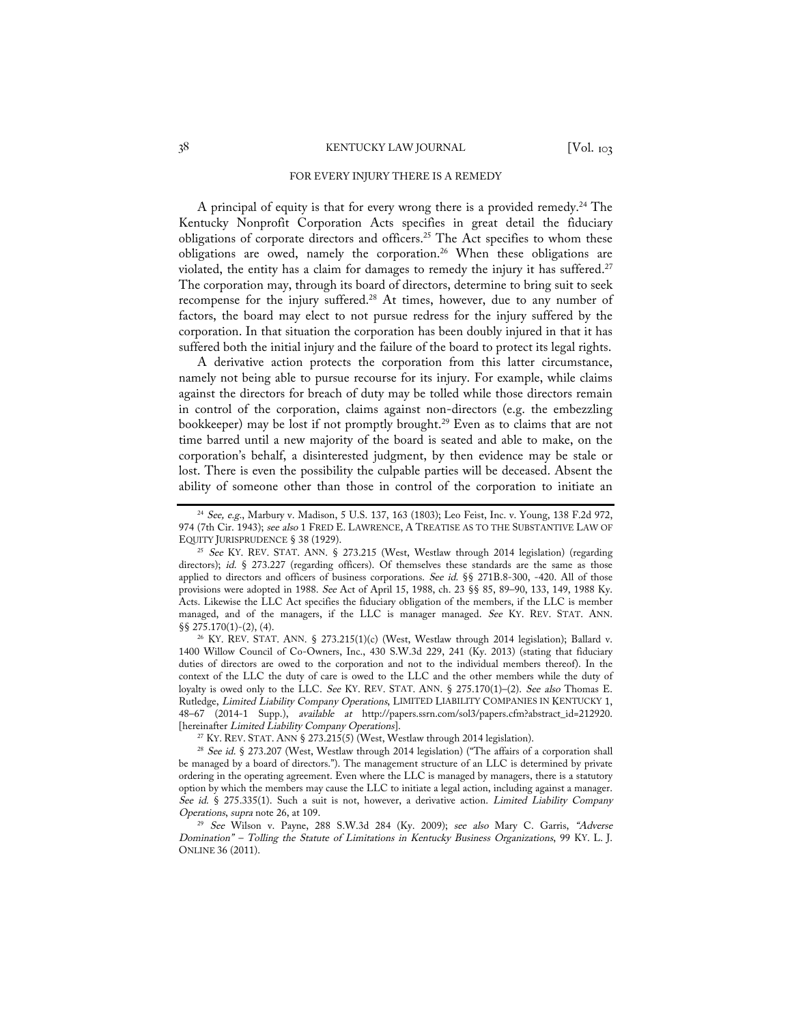#### FOR EVERY INJURY THERE IS A REMEDY

A principal of equity is that for every wrong there is a provided remedy.<sup>24</sup> The Kentucky Nonprofit Corporation Acts specifies in great detail the fiduciary obligations of corporate directors and officers.25 The Act specifies to whom these obligations are owed, namely the corporation.<sup>26</sup> When these obligations are violated, the entity has a claim for damages to remedy the injury it has suffered. 27 The corporation may, through its board of directors, determine to bring suit to seek recompense for the injury suffered.28 At times, however, due to any number of factors, the board may elect to not pursue redress for the injury suffered by the corporation. In that situation the corporation has been doubly injured in that it has suffered both the initial injury and the failure of the board to protect its legal rights.

A derivative action protects the corporation from this latter circumstance, namely not being able to pursue recourse for its injury. For example, while claims against the directors for breach of duty may be tolled while those directors remain in control of the corporation, claims against non-directors (e.g. the embezzling bookkeeper) may be lost if not promptly brought.<sup>29</sup> Even as to claims that are not time barred until a new majority of the board is seated and able to make, on the corporation's behalf, a disinterested judgment, by then evidence may be stale or lost. There is even the possibility the culpable parties will be deceased. Absent the ability of someone other than those in control of the corporation to initiate an

1400 Willow Council of Co-Owners, Inc., 430 S.W.3d 229, 241 (Ky. 2013) (stating that fiduciary duties of directors are owed to the corporation and not to the individual members thereof). In the context of the LLC the duty of care is owed to the LLC and the other members while the duty of loyalty is owed only to the LLC. See KY. REV. STAT. ANN. § 275.170(1)-(2). See also Thomas E. Rutledge, Limited Liability Company Operations, LIMITED LIABILITY COMPANIES IN KENTUCKY 1, 48–67 (2014-1 Supp.), available at http://papers.ssrn.com/sol3/papers.cfm?abstract\_id=212920. [hereinafter Limited Liability Company Operations].<br><sup>27</sup> KY. REV. STAT. ANN § 273.215(5) (West, Westlaw through 2014 legislation).

 $^{24}$  See, e.g., Marbury v. Madison, 5 U.S. 137, 163 (1803); Leo Feist, Inc. v. Young, 138 F.2d 972, 974 (7th Cir. 1943); see also 1 FRED E. LAWRENCE, A TREATISE AS TO THE SUBSTANTIVE LAW OF EQUITY JURISPRUDENCE  $\S 38$  (1929).

<sup>&</sup>lt;sup>25</sup> See KY. REV. STAT. ANN. § 273.215 (West, Westlaw through 2014 legislation) (regarding directors); id. § 273.227 (regarding officers). Of themselves these standards are the same as those applied to directors and officers of business corporations. See id. §§ 271B.8-300, -420. All of those provisions were adopted in 1988. See Act of April 15, 1988, ch. 23 §§ 85, 89–90, 133, 149, 1988 Ky. Acts. Likewise the LLC Act specifies the fiduciary obligation of the members, if the LLC is member managed, and of the managers, if the LLC is manager managed. See KY. REV. STAT. ANN. §§ 275.170(1)-(2), (4). 26 KY. REV. STAT. ANN. § 273.215(1)(c) (West, Westlaw through 2014 legislation); Ballard v.

<sup>&</sup>lt;sup>28</sup> See id. § 273.207 (West, Westlaw through 2014 legislation) ("The affairs of a corporation shall be managed by a board of directors."). The management structure of an LLC is determined by private ordering in the operating agreement. Even where the LLC is managed by managers, there is a statutory option by which the members may cause the LLC to initiate a legal action, including against a manager. See id. § 275.335(1). Such a suit is not, however, a derivative action. Limited Liability Company Operations, supra note 26, at 109.

<sup>&</sup>lt;sup>29</sup> See Wilson v. Payne, 288 S.W.3d 284 (Ky. 2009); see also Mary C. Garris, "Adverse Domination" – Tolling the Statute of Limitations in Kentucky Business Organizations, 99 KY. L. J. ONLINE 36 (2011).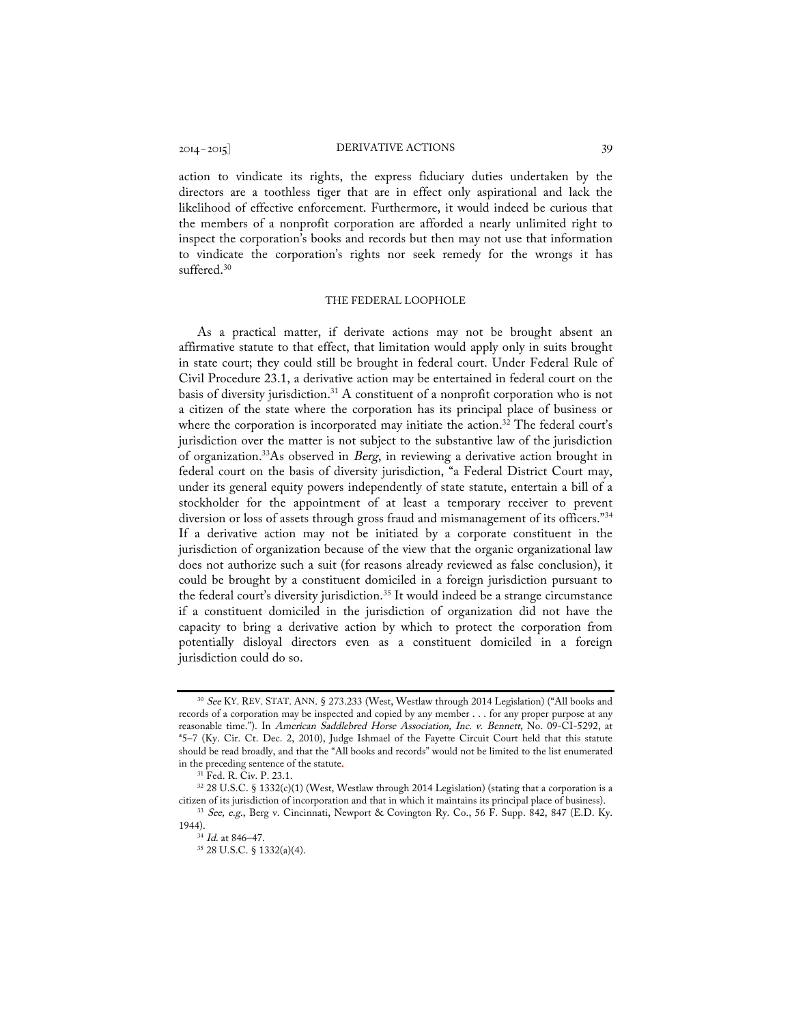action to vindicate its rights, the express fiduciary duties undertaken by the directors are a toothless tiger that are in effect only aspirational and lack the likelihood of effective enforcement. Furthermore, it would indeed be curious that the members of a nonprofit corporation are afforded a nearly unlimited right to inspect the corporation's books and records but then may not use that information to vindicate the corporation's rights nor seek remedy for the wrongs it has suffered.<sup>30</sup>

#### THE FEDERAL LOOPHOLE

As a practical matter, if derivate actions may not be brought absent an affirmative statute to that effect, that limitation would apply only in suits brought in state court; they could still be brought in federal court. Under Federal Rule of Civil Procedure 23.1, a derivative action may be entertained in federal court on the basis of diversity jurisdiction.31 A constituent of a nonprofit corporation who is not a citizen of the state where the corporation has its principal place of business or where the corporation is incorporated may initiate the action.<sup>32</sup> The federal court's jurisdiction over the matter is not subject to the substantive law of the jurisdiction of organization.33As observed in Berg, in reviewing a derivative action brought in federal court on the basis of diversity jurisdiction, "a Federal District Court may, under its general equity powers independently of state statute, entertain a bill of a stockholder for the appointment of at least a temporary receiver to prevent diversion or loss of assets through gross fraud and mismanagement of its officers."34 If a derivative action may not be initiated by a corporate constituent in the jurisdiction of organization because of the view that the organic organizational law does not authorize such a suit (for reasons already reviewed as false conclusion), it could be brought by a constituent domiciled in a foreign jurisdiction pursuant to the federal court's diversity jurisdiction.<sup>35</sup> It would indeed be a strange circumstance if a constituent domiciled in the jurisdiction of organization did not have the capacity to bring a derivative action by which to protect the corporation from potentially disloyal directors even as a constituent domiciled in a foreign jurisdiction could do so.

<sup>30</sup> See KY. REV. STAT. ANN. § 273.233 (West, Westlaw through 2014 Legislation) ("All books and records of a corporation may be inspected and copied by any member . . . for any proper purpose at any reasonable time."). In American Saddlebred Horse Association, Inc. v. Bennett, No. 09-CI-5292, at \*5–7 (Ky. Cir. Ct. Dec. 2, 2010), Judge Ishmael of the Fayette Circuit Court held that this statute should be read broadly, and that the "All books and records" would not be limited to the list enumerated in the preceding sentence of the statute.<br><sup>31</sup> Fed. R. Civ. P. 23.1.<br><sup>32</sup> 28 U.S.C. § 1332(c)(1) (West, Westlaw through 2014 Legislation) (stating that a corporation is a

citizen of its jurisdiction of incorporation and that in which it maintains its principal place of business).

<sup>&</sup>lt;sup>33</sup> See, e.g., Berg v. Cincinnati, Newport & Covington Ry. Co., 56 F. Supp. 842, 847 (E.D. Ky. 1944).

<sup>&</sup>lt;sup>34</sup> *Id.* at 846–47.

<sup>35</sup> 28 U.S.C. § 1332(a)(4).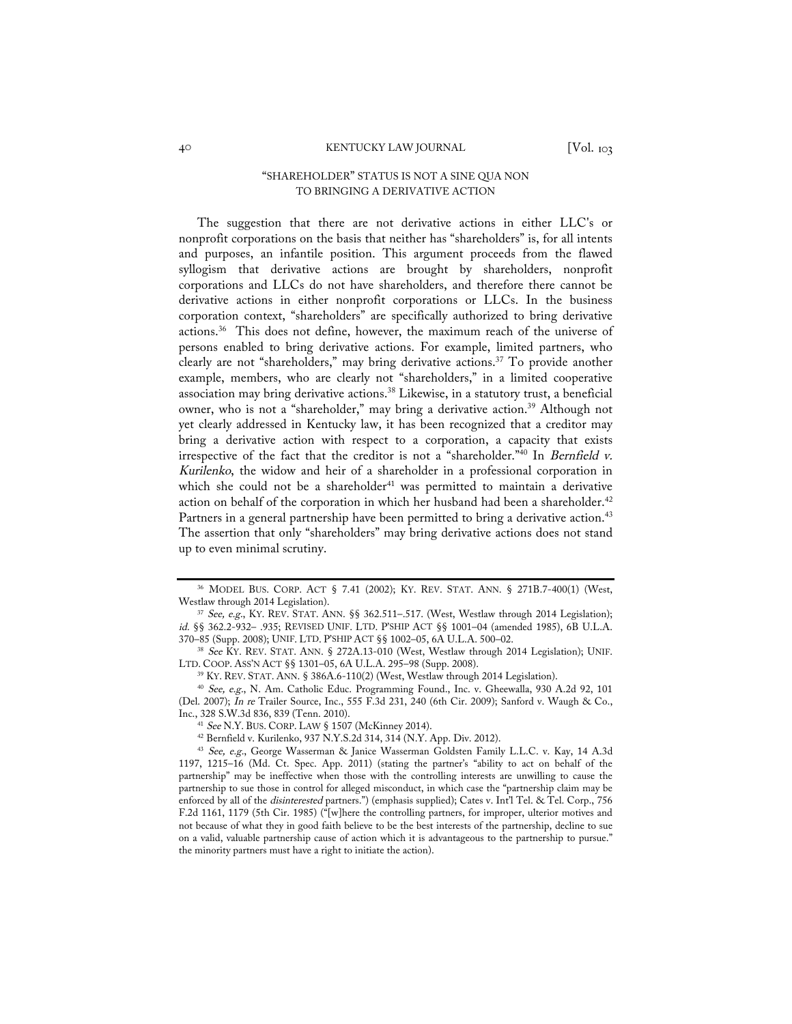# "SHAREHOLDER" STATUS IS NOT A SINE QUA NON TO BRINGING A DERIVATIVE ACTION

The suggestion that there are not derivative actions in either LLC's or nonprofit corporations on the basis that neither has "shareholders" is, for all intents and purposes, an infantile position. This argument proceeds from the flawed syllogism that derivative actions are brought by shareholders, nonprofit corporations and LLCs do not have shareholders, and therefore there cannot be derivative actions in either nonprofit corporations or LLCs. In the business corporation context, "shareholders" are specifically authorized to bring derivative actions.36 This does not define, however, the maximum reach of the universe of persons enabled to bring derivative actions. For example, limited partners, who clearly are not "shareholders," may bring derivative actions.37 To provide another example, members, who are clearly not "shareholders," in a limited cooperative association may bring derivative actions.38 Likewise, in a statutory trust, a beneficial owner, who is not a "shareholder," may bring a derivative action.<sup>39</sup> Although not yet clearly addressed in Kentucky law, it has been recognized that a creditor may bring a derivative action with respect to a corporation, a capacity that exists irrespective of the fact that the creditor is not a "shareholder."40 In Bernfield v. Kurilenko, the widow and heir of a shareholder in a professional corporation in which she could not be a shareholder<sup>41</sup> was permitted to maintain a derivative action on behalf of the corporation in which her husband had been a shareholder.<sup>42</sup> Partners in a general partnership have been permitted to bring a derivative action.<sup>43</sup> The assertion that only "shareholders" may bring derivative actions does not stand up to even minimal scrutiny.

 $36$  MODEL BUS. CORP. ACT § 7.41 (2002); KY. REV. STAT. ANN. § 271B.7-400(1) (West, Westlaw through 2014 Legislation).

<sup>&</sup>lt;sup>37</sup> See, e.g., KY. REV. STAT. ANN. §§ 362.511–.517. (West, Westlaw through 2014 Legislation); id. §§ 362.2-932– .935; REVISED UNIF. LTD. P'SHIP ACT §§ 1001–04 (amended 1985), 6B U.L.A.

<sup>&</sup>lt;sup>38</sup> See KY. REV. STAT. ANN. § 272A.13-010 (West, Westlaw through 2014 Legislation); UNIF. LTD. COOP. ASS'N ACT §§ 1301–05, 6A U.L.A. 295–98 (Supp. 2008).

<sup>&</sup>lt;sup>39</sup> KY. REV. STAT. ANN. § 386A.6-110(2) (West, Westlaw through 2014 Legislation).<br><sup>40</sup> *See, e.g.*, N. Am. Catholic Educ. Programming Found., Inc. v. Gheewalla, 930 A.2d 92, 101 (Del. 2007); In re Trailer Source, Inc., 555 F.3d 231, 240 (6th Cir. 2009); Sanford v. Waugh & Co., Inc., 328 S.W.3d 836, 839 (Tenn. 2010).

<sup>41</sup> See N.Y. BUS. CORP. LAW § 1507 (McKinney 2014).

<sup>42</sup> Bernfield v. Kurilenko, 937 N.Y.S.2d 314, 314 (N.Y. App. Div. 2012).

<sup>43</sup> See, e.g., George Wasserman & Janice Wasserman Goldsten Family L.L.C. v. Kay, 14 A.3d 1197, 1215–16 (Md. Ct. Spec. App. 2011) (stating the partner's "ability to act on behalf of the partnership" may be ineffective when those with the controlling interests are unwilling to cause the partnership to sue those in control for alleged misconduct, in which case the "partnership claim may be enforced by all of the disinterested partners.") (emphasis supplied); Cates v. Int'l Tel. & Tel. Corp., 756 F.2d 1161, 1179 (5th Cir. 1985) ("[w]here the controlling partners, for improper, ulterior motives and not because of what they in good faith believe to be the best interests of the partnership, decline to sue on a valid, valuable partnership cause of action which it is advantageous to the partnership to pursue." the minority partners must have a right to initiate the action).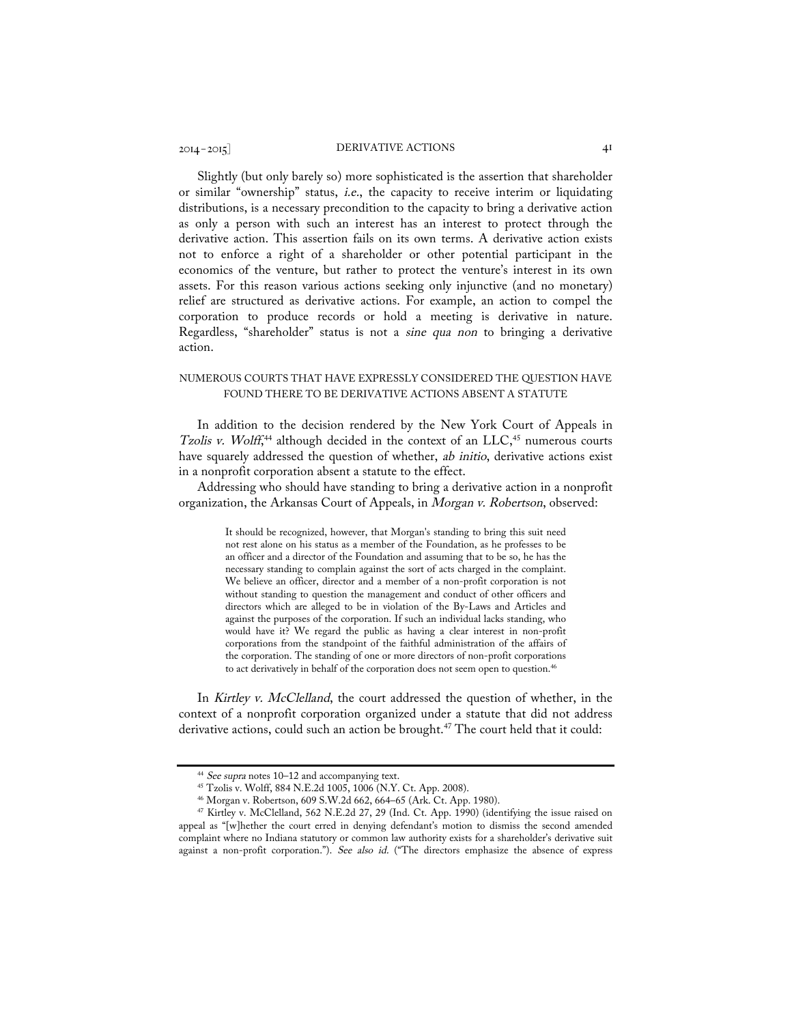Slightly (but only barely so) more sophisticated is the assertion that shareholder or similar "ownership" status, i.e., the capacity to receive interim or liquidating distributions, is a necessary precondition to the capacity to bring a derivative action as only a person with such an interest has an interest to protect through the derivative action. This assertion fails on its own terms. A derivative action exists not to enforce a right of a shareholder or other potential participant in the economics of the venture, but rather to protect the venture's interest in its own assets. For this reason various actions seeking only injunctive (and no monetary) relief are structured as derivative actions. For example, an action to compel the corporation to produce records or hold a meeting is derivative in nature. Regardless, "shareholder" status is not a *sine qua non* to bringing a derivative action.

# NUMEROUS COURTS THAT HAVE EXPRESSLY CONSIDERED THE QUESTION HAVE FOUND THERE TO BE DERIVATIVE ACTIONS ABSENT A STATUTE

In addition to the decision rendered by the New York Court of Appeals in Tzolis v. Wolff,<sup>44</sup> although decided in the context of an  $LLC$ ,<sup>45</sup> numerous courts have squarely addressed the question of whether, ab initio, derivative actions exist in a nonprofit corporation absent a statute to the effect.

Addressing who should have standing to bring a derivative action in a nonprofit organization, the Arkansas Court of Appeals, in Morgan v. Robertson, observed:

> It should be recognized, however, that Morgan's standing to bring this suit need not rest alone on his status as a member of the Foundation, as he professes to be an officer and a director of the Foundation and assuming that to be so, he has the necessary standing to complain against the sort of acts charged in the complaint. We believe an officer, director and a member of a non-profit corporation is not without standing to question the management and conduct of other officers and directors which are alleged to be in violation of the By-Laws and Articles and against the purposes of the corporation. If such an individual lacks standing, who would have it? We regard the public as having a clear interest in non-profit corporations from the standpoint of the faithful administration of the affairs of the corporation. The standing of one or more directors of non-profit corporations to act derivatively in behalf of the corporation does not seem open to question.<sup>46</sup>

In Kirtley v. McClelland, the court addressed the question of whether, in the context of a nonprofit corporation organized under a statute that did not address derivative actions, could such an action be brought.<sup>47</sup> The court held that it could:

 $44$  See supra notes  $10-12$  and accompanying text.<br> $45$  Tzolis v. Wolff, 884 N.E.2d 1005, 1006 (N.Y. Ct. App. 2008).

<sup>&</sup>lt;sup>46</sup> Morgan v. Robertson, 609 S.W.2d 662, 664–65 (Ark. Ct. App. 1980).<br><sup>47</sup> Kirtley v. McClelland, 562 N.E.2d 27, 29 (Ind. Ct. App. 1990) (identifying the issue raised on appeal as "[w]hether the court erred in denying defendant's motion to dismiss the second amended complaint where no Indiana statutory or common law authority exists for a shareholder's derivative suit against a non-profit corporation."). See also id. ("The directors emphasize the absence of express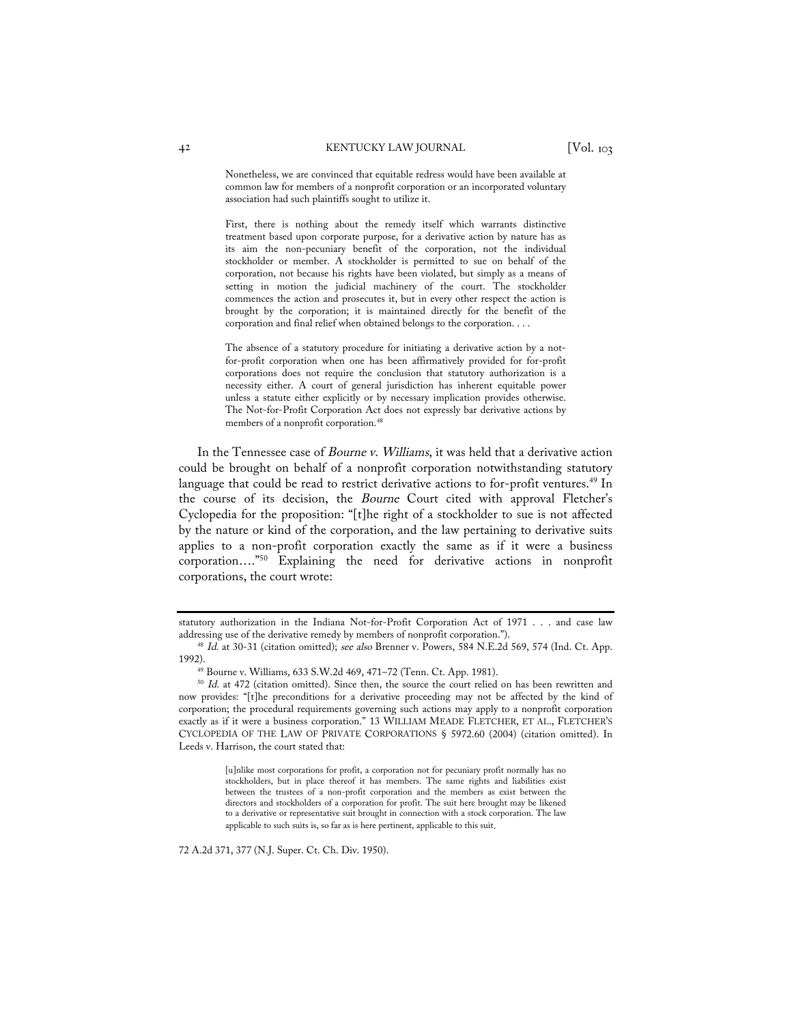Nonetheless, we are convinced that equitable redress would have been available at common law for members of a nonprofit corporation or an incorporated voluntary association had such plaintiffs sought to utilize it.

First, there is nothing about the remedy itself which warrants distinctive treatment based upon corporate purpose, for a derivative action by nature has as its aim the non-pecuniary benefit of the corporation, not the individual stockholder or member. A stockholder is permitted to sue on behalf of the corporation, not because his rights have been violated, but simply as a means of setting in motion the judicial machinery of the court. The stockholder commences the action and prosecutes it, but in every other respect the action is brought by the corporation; it is maintained directly for the benefit of the corporation and final relief when obtained belongs to the corporation. . . .

The absence of a statutory procedure for initiating a derivative action by a notfor-profit corporation when one has been affirmatively provided for for-profit corporations does not require the conclusion that statutory authorization is a necessity either. A court of general jurisdiction has inherent equitable power unless a statute either explicitly or by necessary implication provides otherwise. The Not-for-Profit Corporation Act does not expressly bar derivative actions by members of a nonprofit corporation.48

In the Tennessee case of *Bourne v. Williams*, it was held that a derivative action could be brought on behalf of a nonprofit corporation notwithstanding statutory language that could be read to restrict derivative actions to for-profit ventures.<sup>49</sup> In the course of its decision, the Bourne Court cited with approval Fletcher's Cyclopedia for the proposition: "[t]he right of a stockholder to sue is not affected by the nature or kind of the corporation, and the law pertaining to derivative suits applies to a non-profit corporation exactly the same as if it were a business corporation…."50 Explaining the need for derivative actions in nonprofit corporations, the court wrote:

72 A.2d 371, 377 (N.J. Super. Ct. Ch. Div. 1950).

statutory authorization in the Indiana Not-for-Profit Corporation Act of 1971 . . . and case law addressing use of the derivative remedy by members of nonprofit corporation.").

<sup>&</sup>lt;sup>48</sup> Id. at 30-31 (citation omitted); see also Brenner v. Powers, 584 N.E.2d 569, 574 (Ind. Ct. App. 1992).

<sup>49</sup> Bourne v. Williams, 633 S.W.2d 469, 471–72 (Tenn. Ct. App. 1981).

<sup>&</sup>lt;sup>50</sup> Id. at 472 (citation omitted). Since then, the source the court relied on has been rewritten and now provides: "[t]he preconditions for a derivative proceeding may not be affected by the kind of corporation; the procedural requirements governing such actions may apply to a nonprofit corporation exactly as if it were a business corporation." 13 WILLIAM MEADE FLETCHER, ET AL., FLETCHER'S CYCLOPEDIA OF THE LAW OF PRIVATE CORPORATIONS § 5972.60 (2004) (citation omitted). In Leeds v. Harrison, the court stated that:

<sup>[</sup>u]nlike most corporations for profit, a corporation not for pecuniary profit normally has no stockholders, but in place thereof it has members. The same rights and liabilities exist between the trustees of a non-profit corporation and the members as exist between the directors and stockholders of a corporation for profit. The suit here brought may be likened to a derivative or representative suit brought in connection with a stock corporation. The law applicable to such suits is, so far as is here pertinent, applicable to this suit.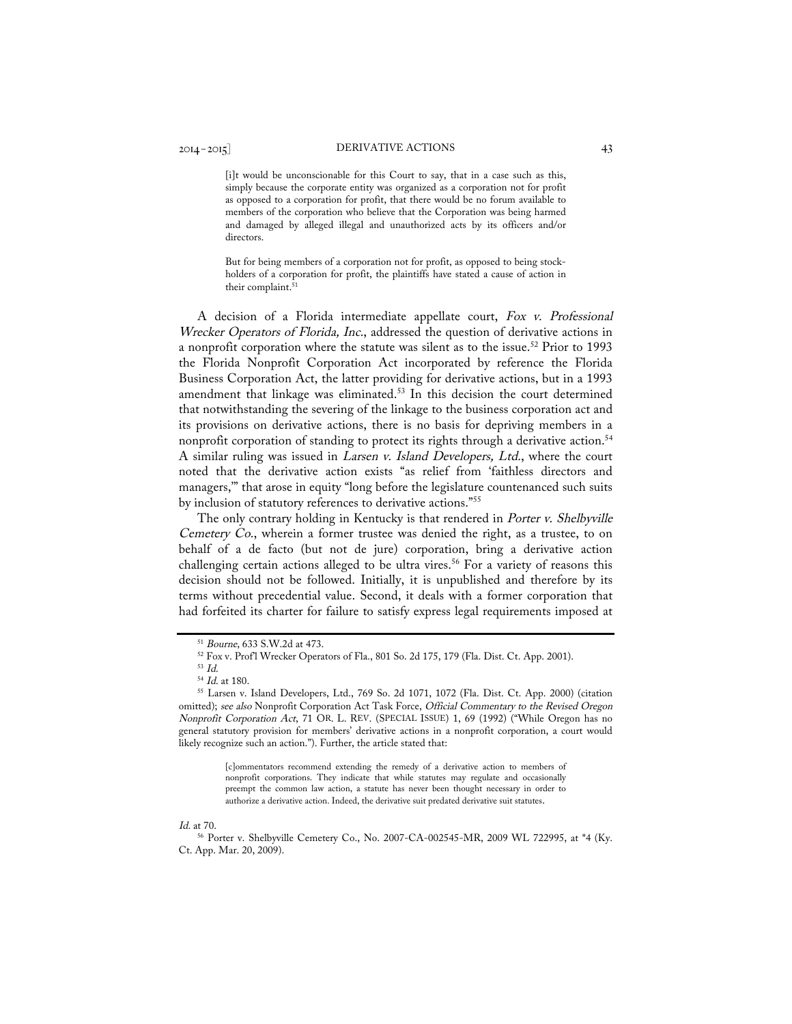# 2014– 2015] DERIVATIVE ACTIONS 43

[i]t would be unconscionable for this Court to say, that in a case such as this, simply because the corporate entity was organized as a corporation not for profit as opposed to a corporation for profit, that there would be no forum available to members of the corporation who believe that the Corporation was being harmed and damaged by alleged illegal and unauthorized acts by its officers and/or directors.

But for being members of a corporation not for profit, as opposed to being stockholders of a corporation for profit, the plaintiffs have stated a cause of action in their complaint.<sup>51</sup>

A decision of a Florida intermediate appellate court, Fox v. Professional Wrecker Operators of Florida, Inc., addressed the question of derivative actions in a nonprofit corporation where the statute was silent as to the issue.<sup>52</sup> Prior to 1993 the Florida Nonprofit Corporation Act incorporated by reference the Florida Business Corporation Act, the latter providing for derivative actions, but in a 1993 amendment that linkage was eliminated.<sup>53</sup> In this decision the court determined that notwithstanding the severing of the linkage to the business corporation act and its provisions on derivative actions, there is no basis for depriving members in a nonprofit corporation of standing to protect its rights through a derivative action.<sup>54</sup> A similar ruling was issued in Larsen v. Island Developers, Ltd., where the court noted that the derivative action exists "as relief from 'faithless directors and managers,'" that arose in equity "long before the legislature countenanced such suits by inclusion of statutory references to derivative actions."55

The only contrary holding in Kentucky is that rendered in Porter v. Shelbyville Cemetery Co., wherein a former trustee was denied the right, as a trustee, to on behalf of a de facto (but not de jure) corporation, bring a derivative action challenging certain actions alleged to be ultra vires.<sup>56</sup> For a variety of reasons this decision should not be followed. Initially, it is unpublished and therefore by its terms without precedential value. Second, it deals with a former corporation that had forfeited its charter for failure to satisfy express legal requirements imposed at

[c]ommentators recommend extending the remedy of a derivative action to members of nonprofit corporations. They indicate that while statutes may regulate and occasionally preempt the common law action, a statute has never been thought necessary in order to authorize a derivative action. Indeed, the derivative suit predated derivative suit statutes.

#### Id. at 70.

<sup>56</sup> Porter v. Shelbyville Cemetery Co., No. 2007-CA-002545-MR, 2009 WL 722995, at \*4 (Ky. Ct. App. Mar. 20, 2009).

<sup>51</sup> Bourne, 633 S.W.2d at 473.

<sup>52</sup> Fox v. Prof'l Wrecker Operators of Fla., 801 So. 2d 175, 179 (Fla. Dist. Ct. App. 2001).

<sup>53</sup> Id.

 $54$  *Id.* at 180.<br> $55$  Larsen v. Island Developers, Ltd., 769 So. 2d 1071, 1072 (Fla. Dist. Ct. App. 2000) (citation omitted); see also Nonprofit Corporation Act Task Force, Official Commentary to the Revised Oregon Nonprofit Corporation Act, 71 OR. L. REV. (SPECIAL ISSUE) 1, 69 (1992) ("While Oregon has no general statutory provision for members' derivative actions in a nonprofit corporation, a court would likely recognize such an action."). Further, the article stated that: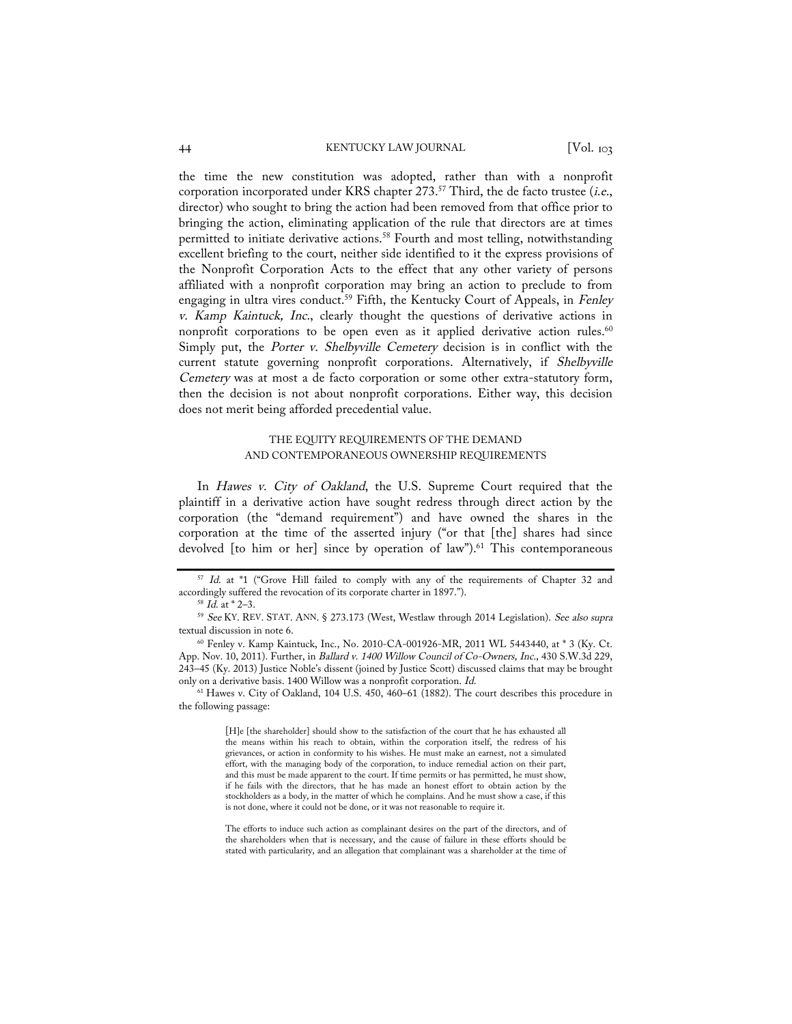# 44 KENTUCKY LAW JOURNAL [Vol. 103

the time the new constitution was adopted, rather than with a nonprofit corporation incorporated under KRS chapter 273.<sup>57</sup> Third, the de facto trustee (i.e., director) who sought to bring the action had been removed from that office prior to bringing the action, eliminating application of the rule that directors are at times permitted to initiate derivative actions.<sup>58</sup> Fourth and most telling, notwithstanding excellent briefing to the court, neither side identified to it the express provisions of the Nonprofit Corporation Acts to the effect that any other variety of persons affiliated with a nonprofit corporation may bring an action to preclude to from engaging in ultra vires conduct.<sup>59</sup> Fifth, the Kentucky Court of Appeals, in Fenley v. Kamp Kaintuck, Inc., clearly thought the questions of derivative actions in nonprofit corporations to be open even as it applied derivative action rules.<sup>60</sup> Simply put, the Porter v. Shelbyville Cemetery decision is in conflict with the current statute governing nonprofit corporations. Alternatively, if Shelbyville Cemetery was at most a de facto corporation or some other extra-statutory form, then the decision is not about nonprofit corporations. Either way, this decision does not merit being afforded precedential value.

# THE EQUITY REQUIREMENTS OF THE DEMAND AND CONTEMPORANEOUS OWNERSHIP REQUIREMENTS

In Hawes v. City of Oakland, the U.S. Supreme Court required that the plaintiff in a derivative action have sought redress through direct action by the corporation (the "demand requirement") and have owned the shares in the corporation at the time of the asserted injury ("or that [the] shares had since devolved  $[$  to him or her $]$  since by operation of law").<sup>61</sup> This contemporaneous

<sup>61</sup> Hawes v. City of Oakland, 104 U.S. 450, 460–61 (1882). The court describes this procedure in the following passage:

> [H]e [the shareholder] should show to the satisfaction of the court that he has exhausted all the means within his reach to obtain, within the corporation itself, the redress of his grievances, or action in conformity to his wishes. He must make an earnest, not a simulated effort, with the managing body of the corporation, to induce remedial action on their part, and this must be made apparent to the court. If time permits or has permitted, he must show, if he fails with the directors, that he has made an honest effort to obtain action by the stockholders as a body, in the matter of which he complains. And he must show a case, if this is not done, where it could not be done, or it was not reasonable to require it.

> The efforts to induce such action as complainant desires on the part of the directors, and of the shareholders when that is necessary, and the cause of failure in these efforts should be stated with particularity, and an allegation that complainant was a shareholder at the time of

<sup>&</sup>lt;sup>57</sup> Id. at \*1 ("Grove Hill failed to comply with any of the requirements of Chapter 32 and accordingly suffered the revocation of its corporate charter in 1897.").<br><sup>58</sup> *Id.* at \* 2–3.

<sup>59</sup> See KY. REV. STAT. ANN. § 273.173 (West, Westlaw through 2014 Legislation). See also supra textual discussion in note 6.

<sup>60</sup> Fenley v. Kamp Kaintuck, Inc., No. 2010-CA-001926-MR, 2011 WL 5443440, at \* 3 (Ky. Ct. App. Nov. 10, 2011). Further, in Ballard v. 1400 Willow Council of Co-Owners, Inc., 430 S.W.3d 229, 243–45 (Ky. 2013) Justice Noble's dissent (joined by Justice Scott) discussed claims that may be brought only on a derivative basis. 1400 Willow was a nonprofit corporation. Id.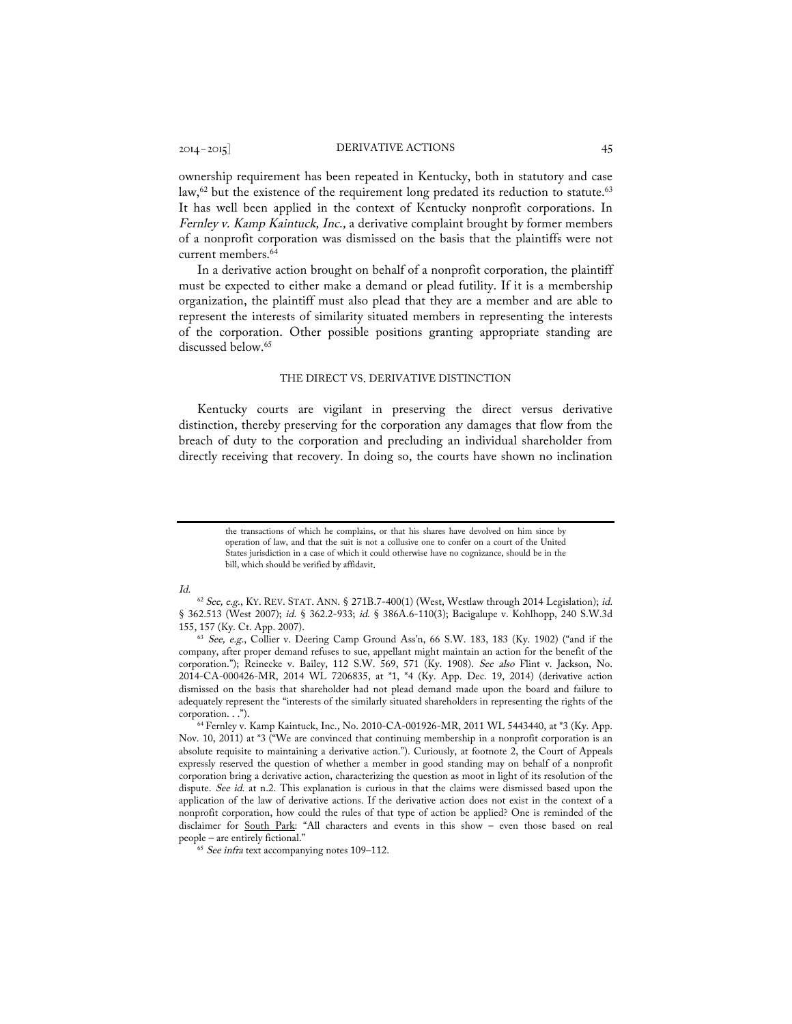ownership requirement has been repeated in Kentucky, both in statutory and case law,<sup>62</sup> but the existence of the requirement long predated its reduction to statute.<sup>63</sup> It has well been applied in the context of Kentucky nonprofit corporations. In Fernley v. Kamp Kaintuck, Inc., a derivative complaint brought by former members of a nonprofit corporation was dismissed on the basis that the plaintiffs were not current members.<sup>64</sup>

In a derivative action brought on behalf of a nonprofit corporation, the plaintiff must be expected to either make a demand or plead futility. If it is a membership organization, the plaintiff must also plead that they are a member and are able to represent the interests of similarity situated members in representing the interests of the corporation. Other possible positions granting appropriate standing are discussed below.<sup>65</sup>

#### THE DIRECT VS. DERIVATIVE DISTINCTION

Kentucky courts are vigilant in preserving the direct versus derivative distinction, thereby preserving for the corporation any damages that flow from the breach of duty to the corporation and precluding an individual shareholder from directly receiving that recovery. In doing so, the courts have shown no inclination

### Id.

 $65$  See infra text accompanying notes 109-112.

the transactions of which he complains, or that his shares have devolved on him since by operation of law, and that the suit is not a collusive one to confer on a court of the United States jurisdiction in a case of which it could otherwise have no cognizance, should be in the bill, which should be verified by affidavit.

 $62$  See, e.g., KY. REV. STAT. ANN. § 271B.7-400(1) (West, Westlaw through 2014 Legislation); id. § 362.513 (West 2007); id. § 362.2-933; id. § 386A.6-110(3); Bacigalupe v. Kohlhopp, 240 S.W.3d 155, 157 (Ky. Ct. App. 2007).

<sup>&</sup>lt;sup>63</sup> See, e.g., Collier v. Deering Camp Ground Ass'n, 66 S.W. 183, 183 (Ky. 1902) ("and if the company, after proper demand refuses to sue, appellant might maintain an action for the benefit of the corporation."); Reinecke v. Bailey, 112 S.W. 569, 571 (Ky. 1908). See also Flint v. Jackson, No. 2014-CA-000426-MR, 2014 WL 7206835, at \*1, \*4 (Ky. App. Dec. 19, 2014) (derivative action dismissed on the basis that shareholder had not plead demand made upon the board and failure to adequately represent the "interests of the similarly situated shareholders in representing the rights of the corporation. . .").

<sup>64</sup> Fernley v. Kamp Kaintuck, Inc., No. 2010-CA-001926-MR, 2011 WL 5443440, at \*3 (Ky. App. Nov. 10, 2011) at \*3 ("We are convinced that continuing membership in a nonprofit corporation is an absolute requisite to maintaining a derivative action."). Curiously, at footnote 2, the Court of Appeals expressly reserved the question of whether a member in good standing may on behalf of a nonprofit corporation bring a derivative action, characterizing the question as moot in light of its resolution of the dispute. See id. at n.2. This explanation is curious in that the claims were dismissed based upon the application of the law of derivative actions. If the derivative action does not exist in the context of a nonprofit corporation, how could the rules of that type of action be applied? One is reminded of the disclaimer for South Park: "All characters and events in this show – even those based on real people – are entirely fictional."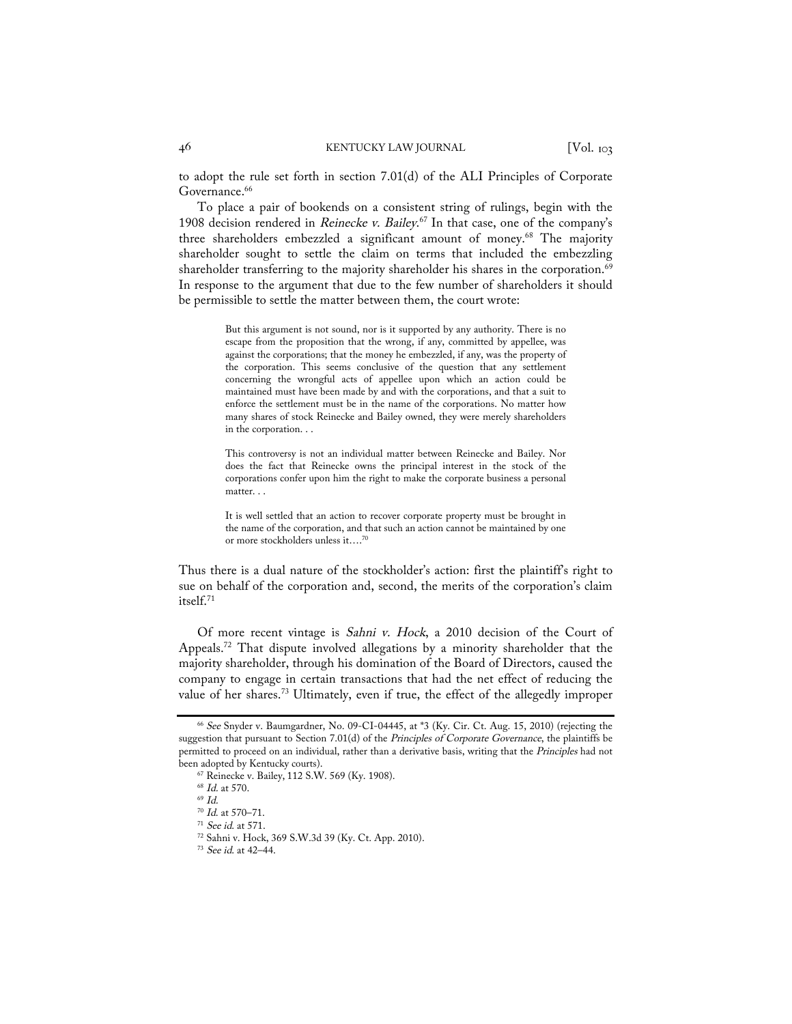to adopt the rule set forth in section 7.01(d) of the ALI Principles of Corporate Governance.<sup>66</sup>

To place a pair of bookends on a consistent string of rulings, begin with the 1908 decision rendered in *Reinecke v. Bailey.*<sup>67</sup> In that case, one of the company's three shareholders embezzled a significant amount of money.68 The majority shareholder sought to settle the claim on terms that included the embezzling shareholder transferring to the majority shareholder his shares in the corporation.<sup>69</sup> In response to the argument that due to the few number of shareholders it should be permissible to settle the matter between them, the court wrote:

> But this argument is not sound, nor is it supported by any authority. There is no escape from the proposition that the wrong, if any, committed by appellee, was against the corporations; that the money he embezzled, if any, was the property of the corporation. This seems conclusive of the question that any settlement concerning the wrongful acts of appellee upon which an action could be maintained must have been made by and with the corporations, and that a suit to enforce the settlement must be in the name of the corporations. No matter how many shares of stock Reinecke and Bailey owned, they were merely shareholders in the corporation. . .

> This controversy is not an individual matter between Reinecke and Bailey. Nor does the fact that Reinecke owns the principal interest in the stock of the corporations confer upon him the right to make the corporate business a personal matter. . .

> It is well settled that an action to recover corporate property must be brought in the name of the corporation, and that such an action cannot be maintained by one or more stockholders unless it….70

Thus there is a dual nature of the stockholder's action: first the plaintiff's right to sue on behalf of the corporation and, second, the merits of the corporation's claim itself.71

Of more recent vintage is Sahni v. Hock, a 2010 decision of the Court of Appeals.72 That dispute involved allegations by a minority shareholder that the majority shareholder, through his domination of the Board of Directors, caused the company to engage in certain transactions that had the net effect of reducing the value of her shares.73 Ultimately, even if true, the effect of the allegedly improper

<sup>66</sup> See Snyder v. Baumgardner, No. 09-CI-04445, at \*3 (Ky. Cir. Ct. Aug. 15, 2010) (rejecting the suggestion that pursuant to Section 7.01(d) of the Principles of Corporate Governance, the plaintiffs be permitted to proceed on an individual, rather than a derivative basis, writing that the Principles had not been adopted by Kentucky courts).

<sup>67</sup> Reinecke v. Bailey, 112 S.W. 569 (Ky. 1908).

 $^{68}$   $\emph{Id.}$  at 570.  $^{69}$   $\emph{Id.}$ 

<sup>70</sup> Id. at 570–71.

 $^{71}$  See id. at 571.

<sup>72</sup> Sahni v. Hock, 369 S.W.3d 39 (Ky. Ct. App. 2010).

<sup>73</sup> See id. at 42–44.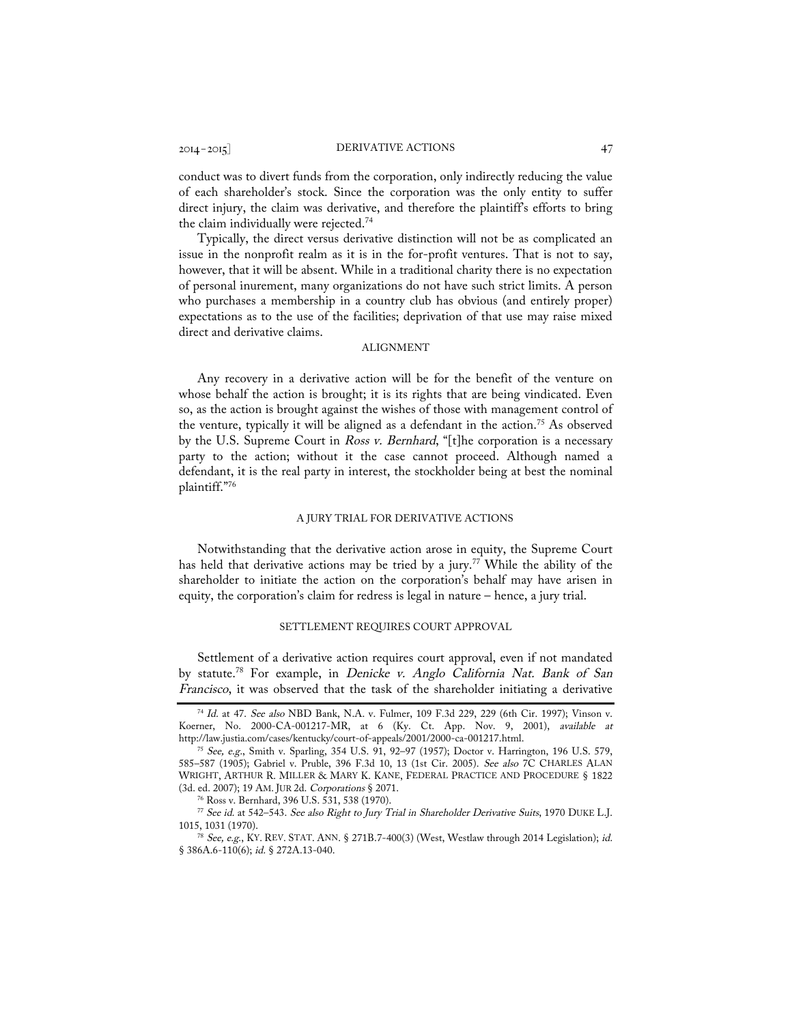conduct was to divert funds from the corporation, only indirectly reducing the value of each shareholder's stock. Since the corporation was the only entity to suffer direct injury, the claim was derivative, and therefore the plaintiff's efforts to bring the claim individually were rejected.74

Typically, the direct versus derivative distinction will not be as complicated an issue in the nonprofit realm as it is in the for-profit ventures. That is not to say, however, that it will be absent. While in a traditional charity there is no expectation of personal inurement, many organizations do not have such strict limits. A person who purchases a membership in a country club has obvious (and entirely proper) expectations as to the use of the facilities; deprivation of that use may raise mixed direct and derivative claims.

# ALIGNMENT

Any recovery in a derivative action will be for the benefit of the venture on whose behalf the action is brought; it is its rights that are being vindicated. Even so, as the action is brought against the wishes of those with management control of the venture, typically it will be aligned as a defendant in the action.<sup>75</sup> As observed by the U.S. Supreme Court in Ross v. Bernhard, "[t]he corporation is a necessary party to the action; without it the case cannot proceed. Although named a defendant, it is the real party in interest, the stockholder being at best the nominal plaintiff."76

# A JURY TRIAL FOR DERIVATIVE ACTIONS

Notwithstanding that the derivative action arose in equity, the Supreme Court has held that derivative actions may be tried by a jury.<sup>77</sup> While the ability of the shareholder to initiate the action on the corporation's behalf may have arisen in equity, the corporation's claim for redress is legal in nature – hence, a jury trial.

#### SETTLEMENT REQUIRES COURT APPROVAL

Settlement of a derivative action requires court approval, even if not mandated by statute.<sup>78</sup> For example, in Denicke v. Anglo California Nat. Bank of San Francisco, it was observed that the task of the shareholder initiating a derivative

<sup>74</sup> Id. at 47. See also NBD Bank, N.A. v. Fulmer, 109 F.3d 229, 229 (6th Cir. 1997); Vinson v. Koerner, No. 2000-CA-001217-MR, at 6 (Ky. Ct. App. Nov. 9, 2001), available at http://law.justia.com/cases/kentucky/court-of-appeals/2001/2000-ca-001217.html.

<sup>&</sup>lt;sup>75</sup> See, e.g., Smith v. Sparling, 354 U.S. 91, 92–97 (1957); Doctor v. Harrington, 196 U.S. 579, 585–587 (1905); Gabriel v. Pruble, 396 F.3d 10, 13 (1st Cir. 2005). See also 7C CHARLES ALAN WRIGHT, ARTHUR R. MILLER & MARY K. KANE, FEDERAL PRACTICE AND PROCEDURE § 1822 (3d. ed. 2007); 19 AM. JUR 2d. Corporations § 2071.

<sup>&</sup>lt;sup>76</sup> Ross v. Bernhard, 396 U.S. 531, 538 (1970).

<sup>77</sup> See id. at 542–543. See also Right to Jury Trial in Shareholder Derivative Suits, 1970 DUKE L.J. 1015, 1031 (1970).

<sup>&</sup>lt;sup>78</sup> See, e.g., KY. REV. STAT. ANN. § 271B.7-400(3) (West, Westlaw through 2014 Legislation); id. § 386A.6-110(6); id. § 272A.13-040.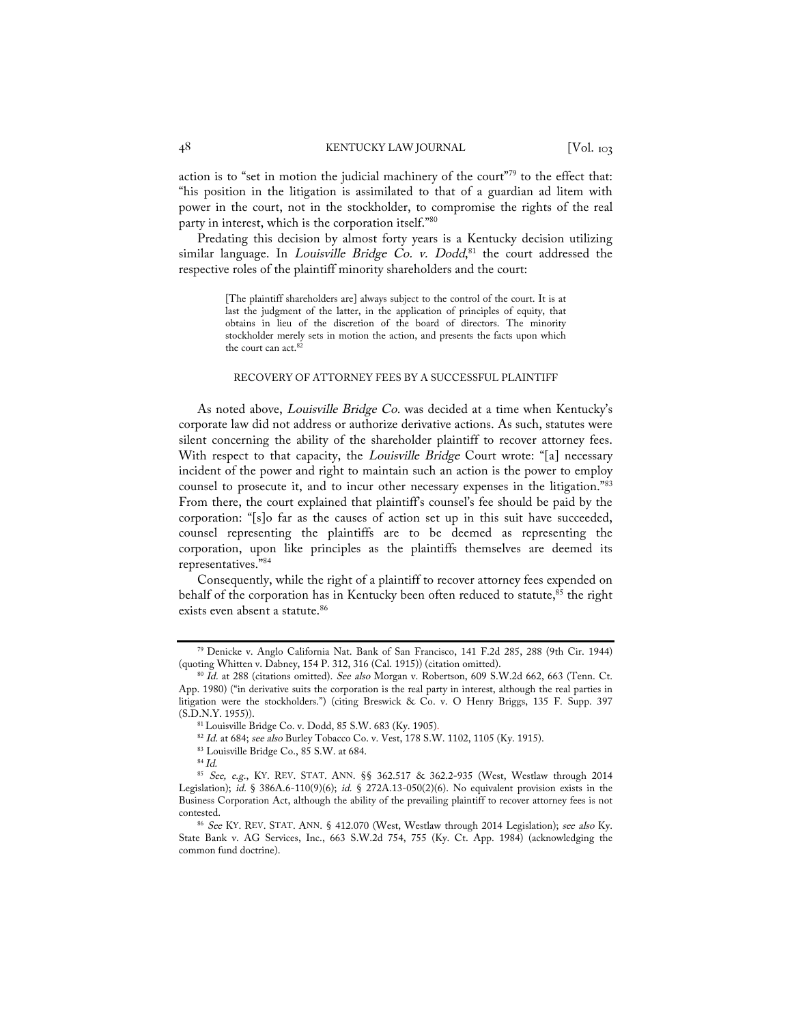action is to "set in motion the judicial machinery of the court"79 to the effect that: "his position in the litigation is assimilated to that of a guardian ad litem with power in the court, not in the stockholder, to compromise the rights of the real party in interest, which is the corporation itself."80

Predating this decision by almost forty years is a Kentucky decision utilizing similar language. In *Louisville Bridge Co. v. Dodd*,  $81$  the court addressed the respective roles of the plaintiff minority shareholders and the court:

> [The plaintiff shareholders are] always subject to the control of the court. It is at last the judgment of the latter, in the application of principles of equity, that obtains in lieu of the discretion of the board of directors. The minority stockholder merely sets in motion the action, and presents the facts upon which the court can act.<sup>82</sup>

### RECOVERY OF ATTORNEY FEES BY A SUCCESSFUL PLAINTIFF

As noted above, *Louisville Bridge Co.* was decided at a time when Kentucky's corporate law did not address or authorize derivative actions. As such, statutes were silent concerning the ability of the shareholder plaintiff to recover attorney fees. With respect to that capacity, the Louisville Bridge Court wrote: "[a] necessary incident of the power and right to maintain such an action is the power to employ counsel to prosecute it, and to incur other necessary expenses in the litigation."83 From there, the court explained that plaintiff's counsel's fee should be paid by the corporation: "[s]o far as the causes of action set up in this suit have succeeded, counsel representing the plaintiffs are to be deemed as representing the corporation, upon like principles as the plaintiffs themselves are deemed its representatives."84

Consequently, while the right of a plaintiff to recover attorney fees expended on behalf of the corporation has in Kentucky been often reduced to statute,<sup>85</sup> the right exists even absent a statute.<sup>86</sup>

<sup>79</sup> Denicke v. Anglo California Nat. Bank of San Francisco, 141 F.2d 285, 288 (9th Cir. 1944) (quoting Whitten v. Dabney, 154 P. 312, 316 (Cal. 1915)) (citation omitted).<br><sup>80</sup> Id. at 288 (citations omitted). *See also* Morgan v. Robertson, 609 S.W.2d 662, 663 (Tenn. Ct.

App. 1980) ("in derivative suits the corporation is the real party in interest, although the real parties in litigation were the stockholders.") (citing Breswick & Co. v. O Henry Briggs, 135 F. Supp. 397 (S.D.N.Y. 1955)).

<sup>81</sup> Louisville Bridge Co. v. Dodd, 85 S.W. 683 (Ky. 1905).

<sup>82</sup> Id. at 684; see also Burley Tobacco Co. v. Vest, 178 S.W. 1102, 1105 (Ky. 1915).

 $\overset{\text{83}}{^{84}}$  Louisville Bridge Co., 85 S.W. at 684.  $^{84}$  Id.

<sup>85</sup> See, e.g., KY. REV. STAT. ANN. §§ 362.517 & 362.2-935 (West, Westlaw through 2014 Legislation); id. § 386A.6-110(9)(6); id. § 272A.13-050(2)(6). No equivalent provision exists in the Business Corporation Act, although the ability of the prevailing plaintiff to recover attorney fees is not contested.

<sup>86</sup> See KY. REV. STAT. ANN. § 412.070 (West, Westlaw through 2014 Legislation); see also Ky. State Bank v. AG Services, Inc., 663 S.W.2d 754, 755 (Ky. Ct. App. 1984) (acknowledging the common fund doctrine).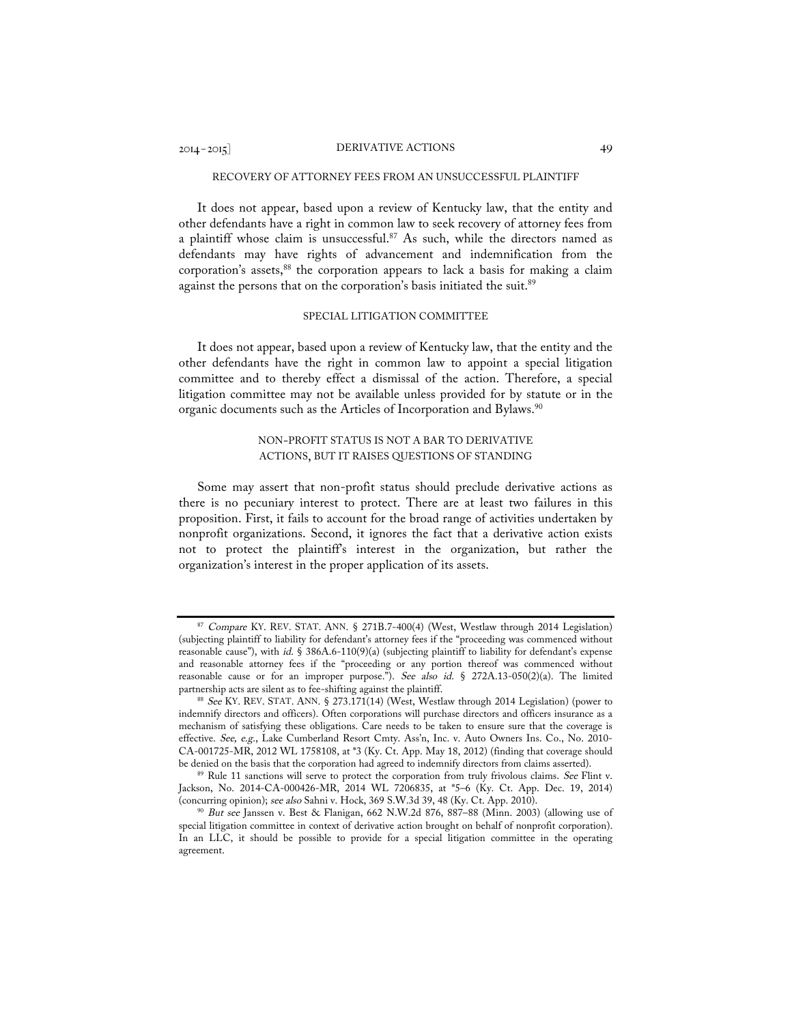# 2014– 2015] DERIVATIVE ACTIONS 49

#### RECOVERY OF ATTORNEY FEES FROM AN UNSUCCESSFUL PLAINTIFF

It does not appear, based upon a review of Kentucky law, that the entity and other defendants have a right in common law to seek recovery of attorney fees from a plaintiff whose claim is unsuccessful.<sup>87</sup> As such, while the directors named as defendants may have rights of advancement and indemnification from the corporation's assets,<sup>88</sup> the corporation appears to lack a basis for making a claim against the persons that on the corporation's basis initiated the suit.<sup>89</sup>

#### SPECIAL LITIGATION COMMITTEE

It does not appear, based upon a review of Kentucky law, that the entity and the other defendants have the right in common law to appoint a special litigation committee and to thereby effect a dismissal of the action. Therefore, a special litigation committee may not be available unless provided for by statute or in the organic documents such as the Articles of Incorporation and Bylaws.<sup>90</sup>

# NON-PROFIT STATUS IS NOT A BAR TO DERIVATIVE ACTIONS, BUT IT RAISES QUESTIONS OF STANDING

Some may assert that non-profit status should preclude derivative actions as there is no pecuniary interest to protect. There are at least two failures in this proposition. First, it fails to account for the broad range of activities undertaken by nonprofit organizations. Second, it ignores the fact that a derivative action exists not to protect the plaintiff's interest in the organization, but rather the organization's interest in the proper application of its assets.

<sup>87</sup> Compare KY. REV. STAT. ANN. § 271B.7-400(4) (West, Westlaw through 2014 Legislation) (subjecting plaintiff to liability for defendant's attorney fees if the "proceeding was commenced without reasonable cause"), with id. § 386A.6-110(9)(a) (subjecting plaintiff to liability for defendant's expense and reasonable attorney fees if the "proceeding or any portion thereof was commenced without reasonable cause or for an improper purpose."). See also id. § 272A.13-050(2)(a). The limited partnership acts are silent as to fee-shifting against the plaintiff.<br><sup>88</sup> See KY. REV. STAT. ANN. § 273.171(14) (West, Westlaw through 2014 Legislation) (power to

indemnify directors and officers). Often corporations will purchase directors and officers insurance as a mechanism of satisfying these obligations. Care needs to be taken to ensure sure that the coverage is effective. See, e.g., Lake Cumberland Resort Cmty. Ass'n, Inc. v. Auto Owners Ins. Co., No. 2010- CA-001725-MR, 2012 WL 1758108, at \*3 (Ky. Ct. App. May 18, 2012) (finding that coverage should be denied on the basis that the corporation had agreed to indemnify directors from claims asserted).

<sup>&</sup>lt;sup>89</sup> Rule 11 sanctions will serve to protect the corporation from truly frivolous claims. See Flint v. Jackson, No. 2014-CA-000426-MR, 2014 WL 7206835, at \*5–6 (Ky. Ct. App. Dec. 19, 2014) (concurring opinion); see also Sahni v. Hock, 369 S.W.3d 39, 48 (Ky. Ct. App. 2010).

 $90$  But see Janssen v. Best & Flanigan, 662 N.W.2d 876, 887–88 (Minn. 2003) (allowing use of special litigation committee in context of derivative action brought on behalf of nonprofit corporation). In an LLC, it should be possible to provide for a special litigation committee in the operating agreement.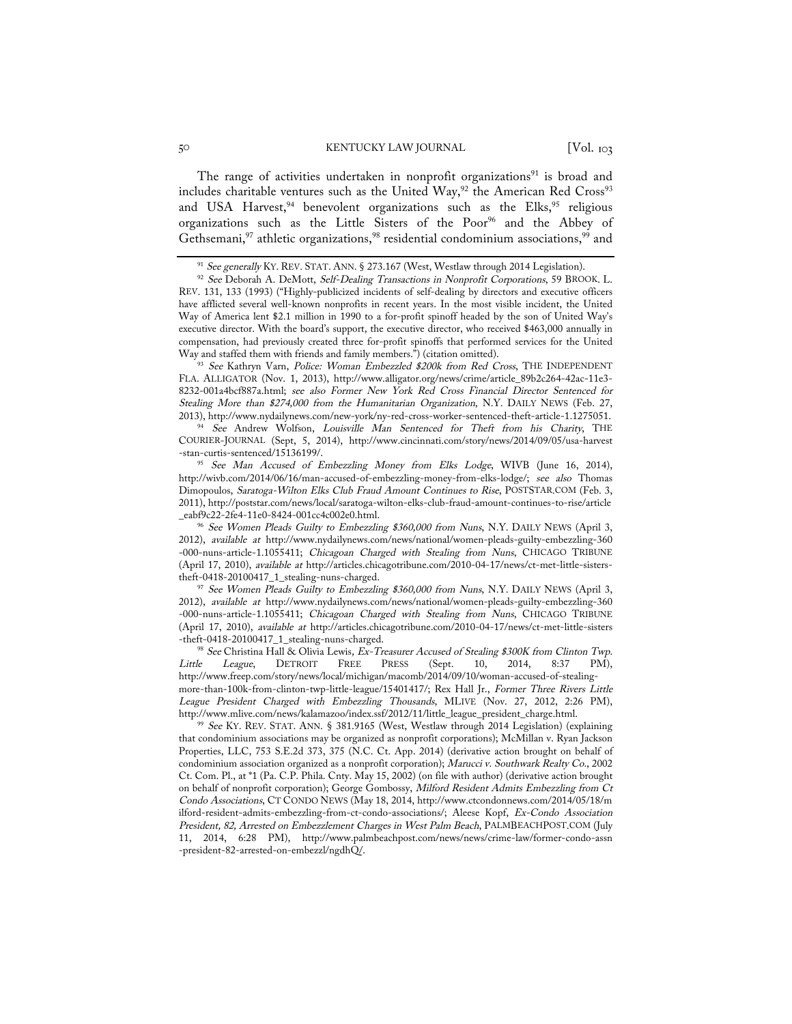The range of activities undertaken in nonprofit organizations<sup>91</sup> is broad and includes charitable ventures such as the United Way,<sup>92</sup> the American Red Cross<sup>93</sup> and USA Harvest,<sup>94</sup> benevolent organizations such as the Elks,<sup>95</sup> religious organizations such as the Little Sisters of the Poor<sup>96</sup> and the Abbey of Gethsemani,<sup>97</sup> athletic organizations,<sup>98</sup> residential condominium associations,<sup>99</sup> and

93 See Kathryn Varn, Police: Woman Embezzled \$200k from Red Cross, THE INDEPENDENT FLA. ALLIGATOR (Nov. 1, 2013), http://www.alligator.org/news/crime/article\_89b2c264-42ac-11e3- 8232-001a4bcf887a.html; see also Former New York Red Cross Financial Director Sentenced for Stealing More than \$274,000 from the Humanitarian Organization, N.Y. DAILY NEWS (Feb. 27, 2013), http://www.nydailynews.com/new-york/ny-red-cross-worker-sentenced-theft-article-1.1275051.

<sup>94</sup> See Andrew Wolfson, Louisville Man Sentenced for Theft from his Charity, THE COURIER-JOURNAL (Sept, 5, 2014), http://www.cincinnati.com/story/news/2014/09/05/usa-harvest -stan-curtis-sentenced/15136199/. 95 See Man Accused of Embezzling Money from Elks Lodge, WIVB (June 16, 2014),

http://wivb.com/2014/06/16/man-accused-of-embezzling-money-from-elks-lodge/; see also Thomas Dimopoulos, Saratoga-Wilton Elks Club Fraud Amount Continues to Rise, POSTSTAR.COM (Feb. 3, 2011), http://poststar.com/news/local/saratoga-wilton-elks-club-fraud-amount-continues-to-rise/article \_eabf9c22-2fe4-11e0-8424-001cc4c002e0.html.

<sup>96</sup> See Women Pleads Guilty to Embezzling \$360,000 from Nuns, N.Y. DAILY NEWS (April 3, 2012), available at http://www.nydailynews.com/news/national/women-pleads-guilty-embezzling-360 -000-nuns-article-1.1055411; Chicagoan Charged with Stealing from Nuns, CHICAGO TRIBUNE (April 17, 2010), available at http://articles.chicagotribune.com/2010-04-17/news/ct-met-little-sisters-

theft-0418-20100417\_1\_stealing-nuns-charged. 97 See Women Pleads Guilty to Embezzling \$360,000 from Nuns, N.Y. DAILY NEWS (April 3, 2012), available at http://www.nydailynews.com/news/national/women-pleads-guilty-embezzling-360 -000-nuns-article-1.1055411; Chicagoan Charged with Stealing from Nuns, CHICAGO TRIBUNE (April 17, 2010), available at http://articles.chicagotribune.com/2010-04-17/news/ct-met-little-sisters -theft-0418-20100417\_1\_stealing-nuns-charged.

<sup>98</sup> See Christina Hall & Olivia Lewis, Ex-Treasurer Accused of Stealing \$300K from Clinton Twp.<br>|- League, DETROIT FREE PRESS (Sept. 10, 2014, 8:37 PM), Little League, DETROIT FREE PRESS (Sept. 10, 2014, 8:37 PM), http://www.freep.com/story/news/local/michigan/macomb/2014/09/10/woman-accused-of-stealingmore-than-100k-from-clinton-twp-little-league/15401417/; Rex Hall Jr., Former Three Rivers Little League President Charged with Embezzling Thousands, MLIVE (Nov. 27, 2012, 2:26 PM), http://www.mlive.com/news/kalamazoo/index.ssf/2012/11/little\_league\_president\_charge.html.

<sup>99</sup> See KY. REV. STAT. ANN. § 381.9165 (West, Westlaw through 2014 Legislation) (explaining that condominium associations may be organized as nonprofit corporations); McMillan v. Ryan Jackson Properties, LLC, 753 S.E.2d 373, 375 (N.C. Ct. App. 2014) (derivative action brought on behalf of condominium association organized as a nonprofit corporation); Marucci v. Southwark Realty Co., 2002 Ct. Com. Pl., at \*1 (Pa. C.P. Phila. Cnty. May 15, 2002) (on file with author) (derivative action brought on behalf of nonprofit corporation); George Gombossy, Milford Resident Admits Embezzling from Ct Condo Associations, CT CONDO NEWS (May 18, 2014, http://www.ctcondonnews.com/2014/05/18/m ilford-resident-admits-embezzling-from-ct-condo-associations/; Aleese Kopf, Ex-Condo Association President, 82, Arrested on Embezzlement Charges in West Palm Beach, PALMBEACHPOST.COM (July 11, 2014, 6:28 PM), http://www.palmbeachpost.com/news/news/crime-law/former-condo-assn -president-82-arrested-on-embezzl/ngdhQ/.

<sup>&</sup>lt;sup>91</sup> See generally KY. REV. STAT. ANN. § 273.167 (West, Westlaw through 2014 Legislation).

<sup>&</sup>lt;sup>92</sup> See Deborah A. DeMott, Self-Dealing Transactions in Nonprofit Corporations, 59 BROOK. L. REV. 131, 133 (1993) ("Highly-publicized incidents of self-dealing by directors and executive officers have afflicted several well-known nonprofits in recent years. In the most visible incident, the United Way of America lent \$2.1 million in 1990 to a for-profit spinoff headed by the son of United Way's executive director. With the board's support, the executive director, who received \$463,000 annually in compensation, had previously created three for-profit spinoffs that performed services for the United Way and staffed them with friends and family members.") (citation omitted).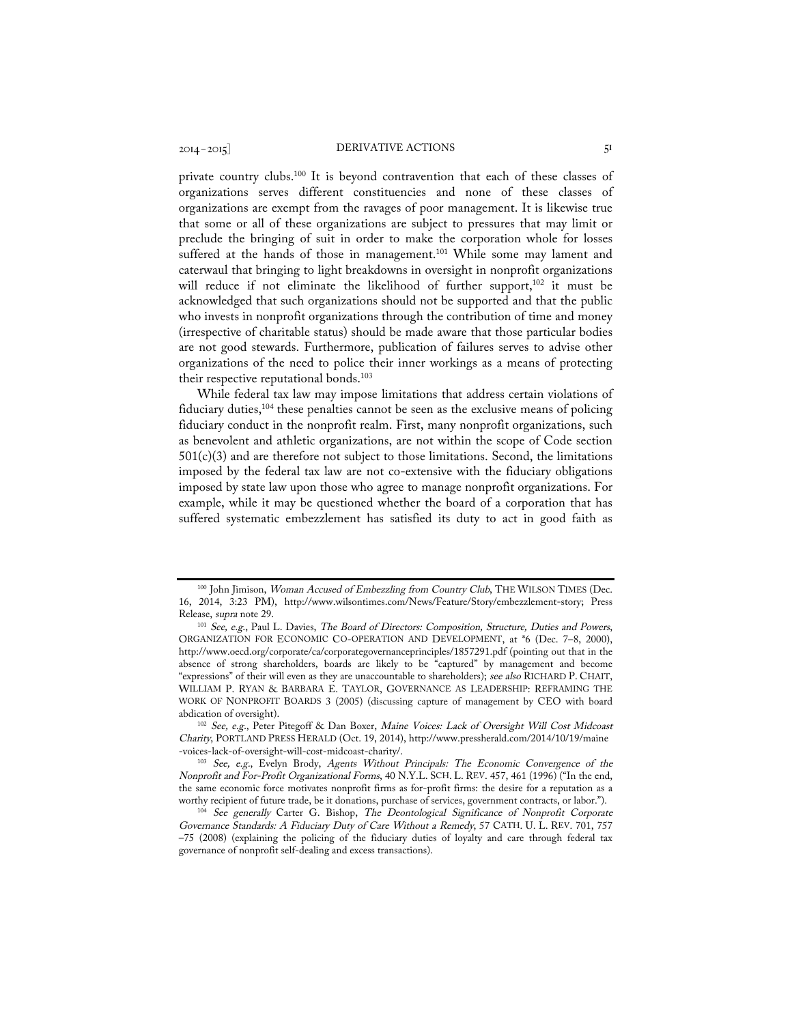private country clubs.<sup>100</sup> It is beyond contravention that each of these classes of organizations serves different constituencies and none of these classes of organizations are exempt from the ravages of poor management. It is likewise true that some or all of these organizations are subject to pressures that may limit or preclude the bringing of suit in order to make the corporation whole for losses suffered at the hands of those in management.<sup>101</sup> While some may lament and caterwaul that bringing to light breakdowns in oversight in nonprofit organizations will reduce if not eliminate the likelihood of further support,<sup>102</sup> it must be acknowledged that such organizations should not be supported and that the public who invests in nonprofit organizations through the contribution of time and money (irrespective of charitable status) should be made aware that those particular bodies are not good stewards. Furthermore, publication of failures serves to advise other organizations of the need to police their inner workings as a means of protecting their respective reputational bonds.<sup>103</sup>

While federal tax law may impose limitations that address certain violations of fiduciary duties,<sup>104</sup> these penalties cannot be seen as the exclusive means of policing fiduciary conduct in the nonprofit realm. First, many nonprofit organizations, such as benevolent and athletic organizations, are not within the scope of Code section  $501(c)(3)$  and are therefore not subject to those limitations. Second, the limitations imposed by the federal tax law are not co-extensive with the fiduciary obligations imposed by state law upon those who agree to manage nonprofit organizations. For example, while it may be questioned whether the board of a corporation that has suffered systematic embezzlement has satisfied its duty to act in good faith as

<sup>100</sup> John Jimison, Woman Accused of Embezzling from Country Club, THE WILSON TIMES (Dec. 16, 2014, 3:23 PM), http://www.wilsontimes.com/News/Feature/Story/embezzlement-story; Press

Release, *supra* note 29.<br><sup>101</sup> See, e.g., Paul L. Davies, *The Board of Directors: Composition, Structure, Duties and Powers*, ORGANIZATION FOR ECONOMIC CO-OPERATION AND DEVELOPMENT, at \*6 (Dec. 7–8, 2000), http://www.oecd.org/corporate/ca/corporategovernanceprinciples/1857291.pdf (pointing out that in the absence of strong shareholders, boards are likely to be "captured" by management and become "expressions" of their will even as they are unaccountable to shareholders); see also RICHARD P. CHAIT, WILLIAM P. RYAN & BARBARA E. TAYLOR, GOVERNANCE AS LEADERSHIP: REFRAMING THE WORK OF NONPROFIT BOARDS 3 (2005) (discussing capture of management by CEO with board abdication of oversight).

<sup>102</sup> See, e.g., Peter Pitegoff & Dan Boxer, Maine Voices: Lack of Oversight Will Cost Midcoast Charity, PORTLAND PRESS HERALD (Oct. 19, 2014), http://www.pressherald.com/2014/10/19/maine -voices-lack-of-oversight-will-cost-midcoast-charity/.

<sup>103</sup> See, e.g., Evelyn Brody, Agents Without Principals: The Economic Convergence of the Nonprofit and For-Profit Organizational Forms, 40 N.Y.L. SCH. L. REV. 457, 461 (1996) ("In the end, the same economic force motivates nonprofit firms as for-profit firms: the desire for a reputation as a worthy recipient of future trade, be it donations, purchase of services, government contracts, or labor.").

See generally Carter G. Bishop, The Deontological Significance of Nonprofit Corporate Governance Standards: A Fiduciary Duty of Care Without a Remedy, 57 CATH. U. L. REV. 701, 757 –75 (2008) (explaining the policing of the fiduciary duties of loyalty and care through federal tax governance of nonprofit self-dealing and excess transactions).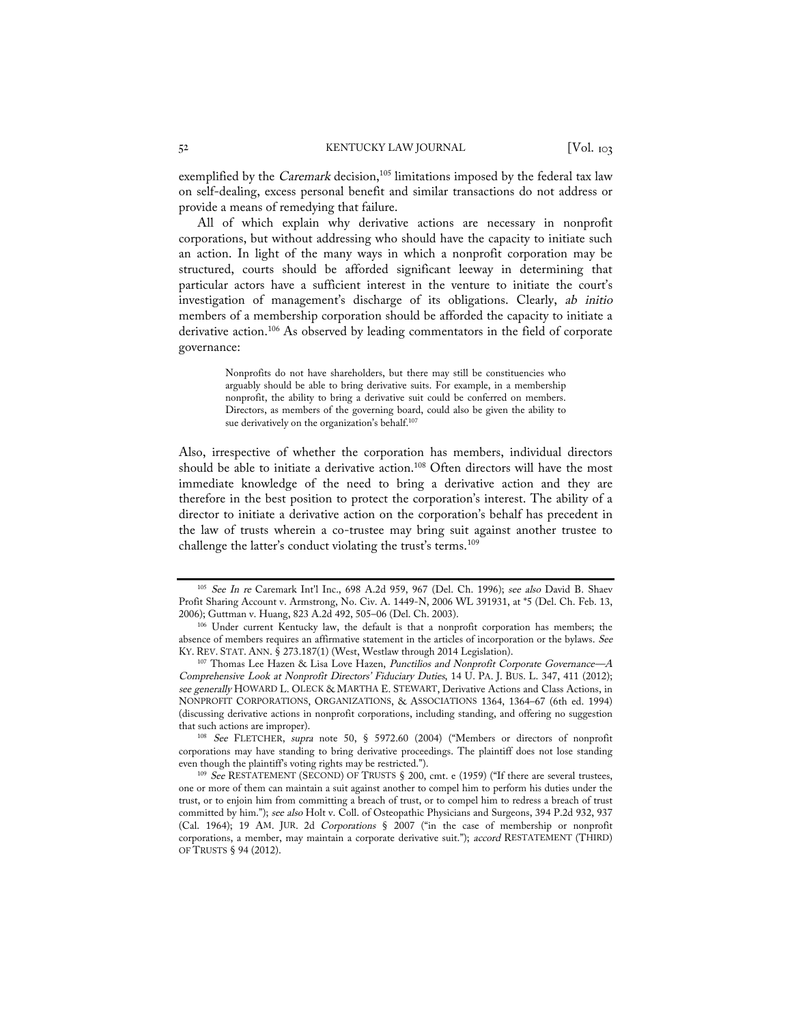exemplified by the Caremark decision, $105$  limitations imposed by the federal tax law on self-dealing, excess personal benefit and similar transactions do not address or provide a means of remedying that failure.

All of which explain why derivative actions are necessary in nonprofit corporations, but without addressing who should have the capacity to initiate such an action. In light of the many ways in which a nonprofit corporation may be structured, courts should be afforded significant leeway in determining that particular actors have a sufficient interest in the venture to initiate the court's investigation of management's discharge of its obligations. Clearly, ab initio members of a membership corporation should be afforded the capacity to initiate a derivative action.<sup>106</sup> As observed by leading commentators in the field of corporate governance:

> Nonprofits do not have shareholders, but there may still be constituencies who arguably should be able to bring derivative suits. For example, in a membership nonprofit, the ability to bring a derivative suit could be conferred on members. Directors, as members of the governing board, could also be given the ability to sue derivatively on the organization's behalf.<sup>107</sup>

Also, irrespective of whether the corporation has members, individual directors should be able to initiate a derivative action.<sup>108</sup> Often directors will have the most immediate knowledge of the need to bring a derivative action and they are therefore in the best position to protect the corporation's interest. The ability of a director to initiate a derivative action on the corporation's behalf has precedent in the law of trusts wherein a co-trustee may bring suit against another trustee to challenge the latter's conduct violating the trust's terms.<sup>109</sup>

<sup>108</sup> See FLETCHER, supra note 50, § 5972.60 (2004) ("Members or directors of nonprofit corporations may have standing to bring derivative proceedings. The plaintiff does not lose standing even though the plaintiff's voting rights may be restricted.").

<sup>105</sup> See In re Caremark Int'l Inc., 698 A.2d 959, 967 (Del. Ch. 1996); see also David B. Shaev Profit Sharing Account v. Armstrong, No. Civ. A. 1449-N, 2006 WL 391931, at \*5 (Del. Ch. Feb. 13, 2006); Guttman v. Huang, 823 A.2d 492, 505–06 (Del. Ch. 2003).

<sup>106</sup> Under current Kentucky law, the default is that a nonprofit corporation has members; the absence of members requires an affirmative statement in the articles of incorporation or the bylaws. See KY. REV. STAT. ANN. § 273.187(1) (West, Westlaw through 2014 Legislation).

<sup>107</sup> Thomas Lee Hazen & Lisa Love Hazen, Punctilios and Nonprofit Corporate Governance—A Comprehensive Look at Nonprofit Directors' Fiduciary Duties, 14 U. PA. J. BUS. L. 347, 411 (2012); see generally HOWARD L. OLECK & MARTHA E. STEWART, Derivative Actions and Class Actions, in NONPROFIT CORPORATIONS, ORGANIZATIONS, & ASSOCIATIONS 1364, 1364–67 (6th ed. 1994) (discussing derivative actions in nonprofit corporations, including standing, and offering no suggestion that such actions are improper).

<sup>109</sup> See RESTATEMENT (SECOND) OF TRUSTS § 200, cmt. e (1959) ("If there are several trustees, one or more of them can maintain a suit against another to compel him to perform his duties under the trust, or to enjoin him from committing a breach of trust, or to compel him to redress a breach of trust committed by him."); see also Holt v. Coll. of Osteopathic Physicians and Surgeons, 394 P.2d 932, 937 (Cal. 1964); 19 AM. JUR. 2d Corporations § 2007 ("in the case of membership or nonprofit corporations, a member, may maintain a corporate derivative suit."); accord RESTATEMENT (THIRD) OF TRUSTS § 94 (2012).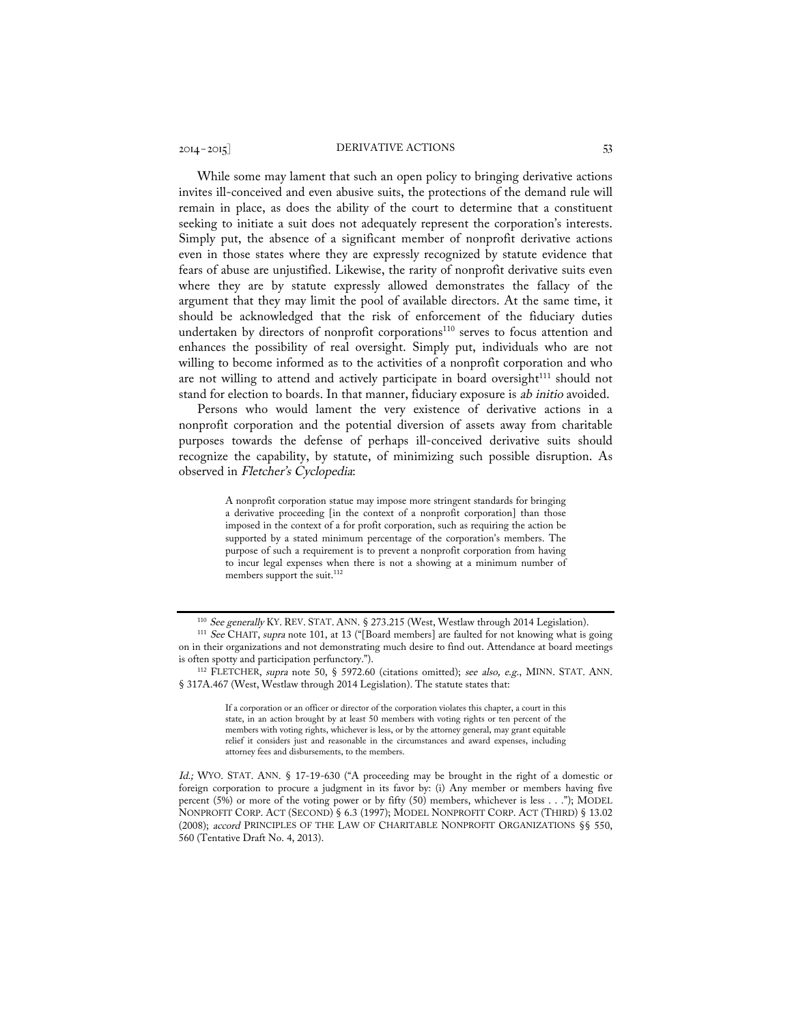While some may lament that such an open policy to bringing derivative actions invites ill-conceived and even abusive suits, the protections of the demand rule will remain in place, as does the ability of the court to determine that a constituent seeking to initiate a suit does not adequately represent the corporation's interests. Simply put, the absence of a significant member of nonprofit derivative actions even in those states where they are expressly recognized by statute evidence that fears of abuse are unjustified. Likewise, the rarity of nonprofit derivative suits even where they are by statute expressly allowed demonstrates the fallacy of the argument that they may limit the pool of available directors. At the same time, it should be acknowledged that the risk of enforcement of the fiduciary duties undertaken by directors of nonprofit corporations<sup>110</sup> serves to focus attention and enhances the possibility of real oversight. Simply put, individuals who are not willing to become informed as to the activities of a nonprofit corporation and who are not willing to attend and actively participate in board oversight<sup>111</sup> should not stand for election to boards. In that manner, fiduciary exposure is ab initio avoided.

Persons who would lament the very existence of derivative actions in a nonprofit corporation and the potential diversion of assets away from charitable purposes towards the defense of perhaps ill-conceived derivative suits should recognize the capability, by statute, of minimizing such possible disruption. As observed in Fletcher's Cyclopedia:

> A nonprofit corporation statue may impose more stringent standards for bringing a derivative proceeding [in the context of a nonprofit corporation] than those imposed in the context of a for profit corporation, such as requiring the action be supported by a stated minimum percentage of the corporation's members. The purpose of such a requirement is to prevent a nonprofit corporation from having to incur legal expenses when there is not a showing at a minimum number of members support the suit.<sup>112</sup>

<sup>&</sup>lt;sup>110</sup> See generally KY. REV. STAT. ANN. § 273.215 (West, Westlaw through 2014 Legislation).<br><sup>111</sup> See CHAIT, supra note 101, at 13 ("[Board members] are faulted for not knowing what is going

on in their organizations and not demonstrating much desire to find out. Attendance at board meetings is often spotty and participation perfunctory.").

<sup>&</sup>lt;sup>112</sup> FLETCHER, supra note 50, § 5972.60 (citations omitted); see also, e.g., MINN, STAT. ANN. § 317A.467 (West, Westlaw through 2014 Legislation). The statute states that:

If a corporation or an officer or director of the corporation violates this chapter, a court in this state, in an action brought by at least 50 members with voting rights or ten percent of the members with voting rights, whichever is less, or by the attorney general, may grant equitable relief it considers just and reasonable in the circumstances and award expenses, including attorney fees and disbursements, to the members.

Id.; WYO. STAT. ANN. § 17-19-630 ("A proceeding may be brought in the right of a domestic or foreign corporation to procure a judgment in its favor by: (i) Any member or members having five percent (5%) or more of the voting power or by fifty (50) members, whichever is less . . ."); MODEL NONPROFIT CORP. ACT (SECOND) § 6.3 (1997); MODEL NONPROFIT CORP. ACT (THIRD) § 13.02 (2008); accord PRINCIPLES OF THE LAW OF CHARITABLE NONPROFIT ORGANIZATIONS §§ 550, 560 (Tentative Draft No. 4, 2013).